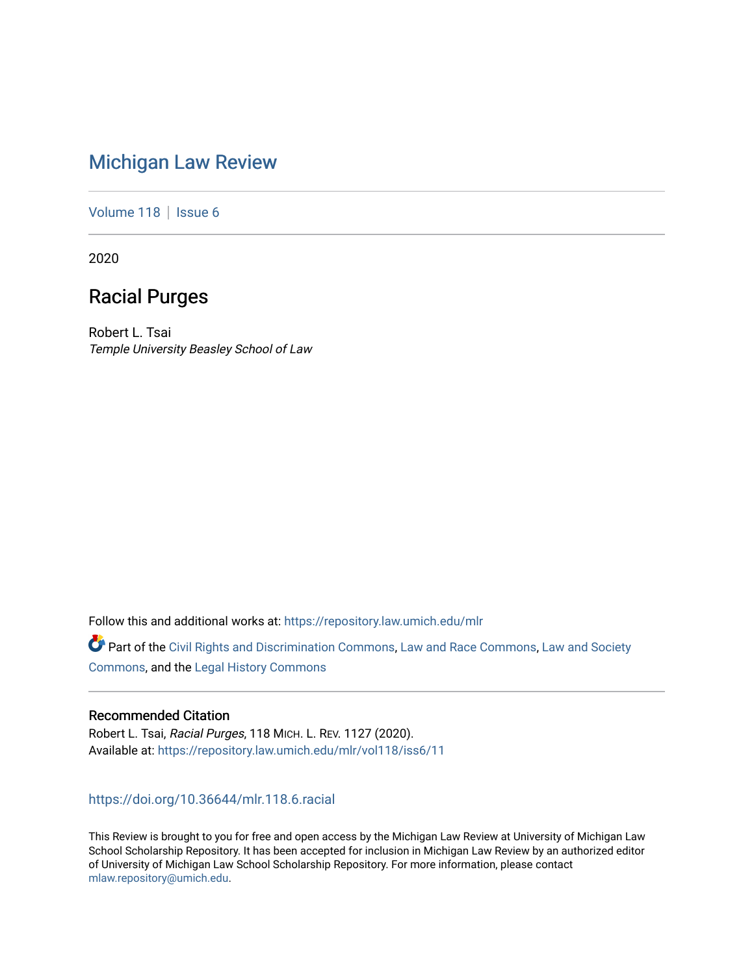# [Michigan Law Review](https://repository.law.umich.edu/mlr)

[Volume 118](https://repository.law.umich.edu/mlr/vol118) | [Issue 6](https://repository.law.umich.edu/mlr/vol118/iss6)

2020

## Racial Purges

Robert L. Tsai Temple University Beasley School of Law

Follow this and additional works at: [https://repository.law.umich.edu/mlr](https://repository.law.umich.edu/mlr?utm_source=repository.law.umich.edu%2Fmlr%2Fvol118%2Fiss6%2F11&utm_medium=PDF&utm_campaign=PDFCoverPages) 

Part of the [Civil Rights and Discrimination Commons,](http://network.bepress.com/hgg/discipline/585?utm_source=repository.law.umich.edu%2Fmlr%2Fvol118%2Fiss6%2F11&utm_medium=PDF&utm_campaign=PDFCoverPages) [Law and Race Commons,](http://network.bepress.com/hgg/discipline/1300?utm_source=repository.law.umich.edu%2Fmlr%2Fvol118%2Fiss6%2F11&utm_medium=PDF&utm_campaign=PDFCoverPages) [Law and Society](http://network.bepress.com/hgg/discipline/853?utm_source=repository.law.umich.edu%2Fmlr%2Fvol118%2Fiss6%2F11&utm_medium=PDF&utm_campaign=PDFCoverPages)  [Commons](http://network.bepress.com/hgg/discipline/853?utm_source=repository.law.umich.edu%2Fmlr%2Fvol118%2Fiss6%2F11&utm_medium=PDF&utm_campaign=PDFCoverPages), and the [Legal History Commons](http://network.bepress.com/hgg/discipline/904?utm_source=repository.law.umich.edu%2Fmlr%2Fvol118%2Fiss6%2F11&utm_medium=PDF&utm_campaign=PDFCoverPages)

### Recommended Citation

Robert L. Tsai, Racial Purges, 118 MICH. L. REV. 1127 (2020). Available at: [https://repository.law.umich.edu/mlr/vol118/iss6/11](https://repository.law.umich.edu/mlr/vol118/iss6/11?utm_source=repository.law.umich.edu%2Fmlr%2Fvol118%2Fiss6%2F11&utm_medium=PDF&utm_campaign=PDFCoverPages) 

<https://doi.org/10.36644/mlr.118.6.racial>

This Review is brought to you for free and open access by the Michigan Law Review at University of Michigan Law School Scholarship Repository. It has been accepted for inclusion in Michigan Law Review by an authorized editor of University of Michigan Law School Scholarship Repository. For more information, please contact [mlaw.repository@umich.edu.](mailto:mlaw.repository@umich.edu)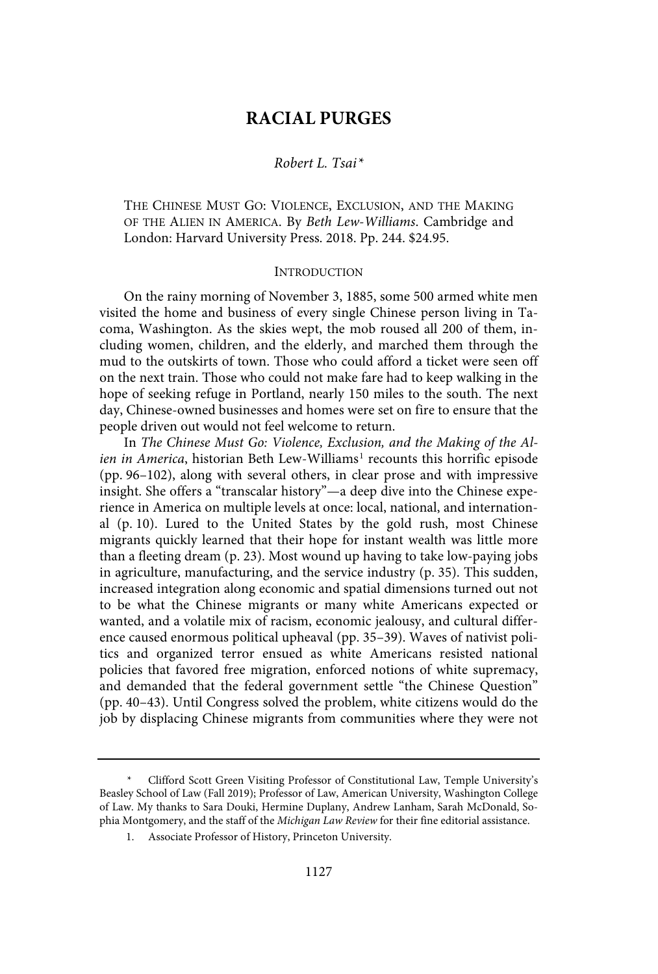## **RACIAL PURGES**

#### Robert L. Tsai\*

THE CHINESE MUST GO: VIOLENCE, EXCLUSION, AND THE MAKING OF THE ALIEN IN AMERICA. By Beth Lew-Williams. Cambridge and London: Harvard University Press. 2018. Pp. 244. \$24.95.

#### INTRODUCTION

On the rainy morning of November 3, 1885, some 500 armed white men visited the home and business of every single Chinese person living in Tacoma, Washington. As the skies wept, the mob roused all 200 of them, including women, children, and the elderly, and marched them through the mud to the outskirts of town. Those who could afford a ticket were seen off on the next train. Those who could not make fare had to keep walking in the hope of seeking refuge in Portland, nearly 150 miles to the south. The next day, Chinese-owned businesses and homes were set on fire to ensure that the people driven out would not feel welcome to return.

In The Chinese Must Go: Violence, Exclusion, and the Making of the Ali*en in America*, historian Beth Lew-Williams<sup>1</sup> recounts this horrific episode (pp. 96–102), along with several others, in clear prose and with impressive insight. She offers a "transcalar history"—a deep dive into the Chinese experience in America on multiple levels at once: local, national, and international (p. 10). Lured to the United States by the gold rush, most Chinese migrants quickly learned that their hope for instant wealth was little more than a fleeting dream (p. 23). Most wound up having to take low-paying jobs in agriculture, manufacturing, and the service industry (p. 35). This sudden, increased integration along economic and spatial dimensions turned out not to be what the Chinese migrants or many white Americans expected or wanted, and a volatile mix of racism, economic jealousy, and cultural difference caused enormous political upheaval (pp. 35–39). Waves of nativist politics and organized terror ensued as white Americans resisted national policies that favored free migration, enforced notions of white supremacy, and demanded that the federal government settle "the Chinese Question" (pp. 40–43). Until Congress solved the problem, white citizens would do the job by displacing Chinese migrants from communities where they were not

Clifford Scott Green Visiting Professor of Constitutional Law, Temple University's Beasley School of Law (Fall 2019); Professor of Law, American University, Washington College of Law. My thanks to Sara Douki, Hermine Duplany, Andrew Lanham, Sarah McDonald, Sophia Montgomery, and the staff of the Michigan Law Review for their fine editorial assistance.

<sup>1.</sup> Associate Professor of History, Princeton University.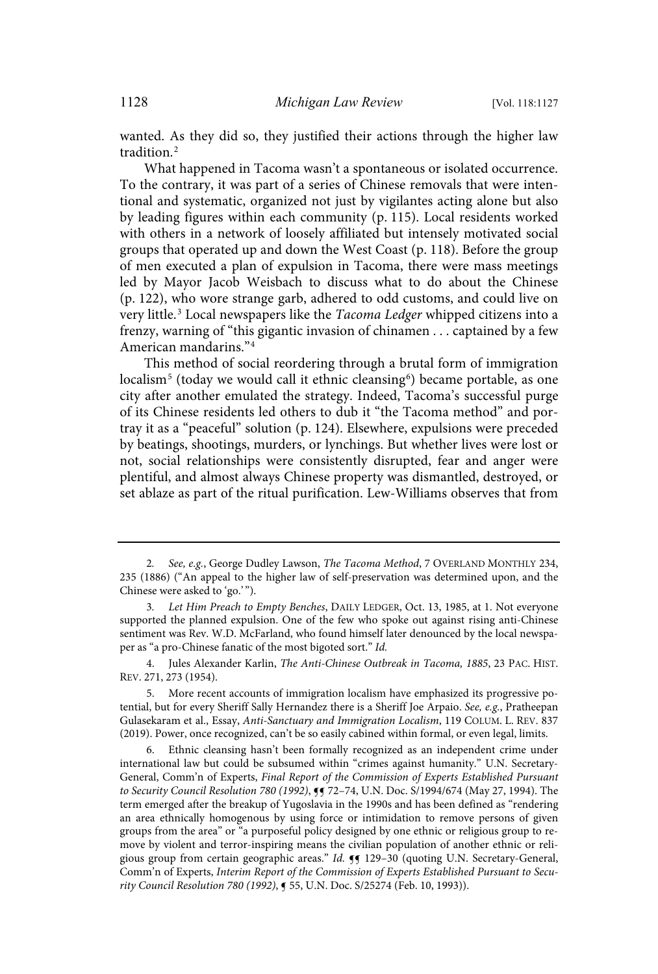wanted. As they did so, they justified their actions through the higher law tradition.<sup>2</sup>

What happened in Tacoma wasn't a spontaneous or isolated occurrence. To the contrary, it was part of a series of Chinese removals that were intentional and systematic, organized not just by vigilantes acting alone but also by leading figures within each community (p. 115). Local residents worked with others in a network of loosely affiliated but intensely motivated social groups that operated up and down the West Coast (p. 118). Before the group of men executed a plan of expulsion in Tacoma, there were mass meetings led by Mayor Jacob Weisbach to discuss what to do about the Chinese (p. 122), who wore strange garb, adhered to odd customs, and could live on very little.<sup>3</sup> Local newspapers like the Tacoma Ledger whipped citizens into a frenzy, warning of "this gigantic invasion of chinamen . . . captained by a few American mandarins."<sup>4</sup>

This method of social reordering through a brutal form of immigration localism<sup>5</sup> (today we would call it ethnic cleansing<sup>6</sup>) became portable, as one city after another emulated the strategy. Indeed, Tacoma's successful purge of its Chinese residents led others to dub it "the Tacoma method" and portray it as a "peaceful" solution (p. 124). Elsewhere, expulsions were preceded by beatings, shootings, murders, or lynchings. But whether lives were lost or not, social relationships were consistently disrupted, fear and anger were plentiful, and almost always Chinese property was dismantled, destroyed, or set ablaze as part of the ritual purification. Lew-Williams observes that from

<sup>2.</sup> See, e.g., George Dudley Lawson, The Tacoma Method, 7 OVERLAND MONTHLY 234, 235 (1886) ("An appeal to the higher law of self-preservation was determined upon, and the Chinese were asked to 'go.' ").

<sup>3</sup>. Let Him Preach to Empty Benches, DAILY LEDGER, Oct. 13, 1985, at 1. Not everyone supported the planned expulsion. One of the few who spoke out against rising anti-Chinese sentiment was Rev. W.D. McFarland, who found himself later denounced by the local newspaper as "a pro-Chinese fanatic of the most bigoted sort." Id.

<sup>4.</sup> Jules Alexander Karlin, The Anti-Chinese Outbreak in Tacoma, 1885, 23 PAC. HIST. REV. 271, 273 (1954).

<sup>5.</sup> More recent accounts of immigration localism have emphasized its progressive potential, but for every Sheriff Sally Hernandez there is a Sheriff Joe Arpaio. See, e.g., Pratheepan Gulasekaram et al., Essay, Anti-Sanctuary and Immigration Localism, 119 COLUM. L. REV. 837 (2019). Power, once recognized, can't be so easily cabined within formal, or even legal, limits.

<sup>6.</sup> Ethnic cleansing hasn't been formally recognized as an independent crime under international law but could be subsumed within "crimes against humanity." U.N. Secretary-General, Comm'n of Experts, Final Report of the Commission of Experts Established Pursuant to Security Council Resolution 780 (1992),  $9$  72-74, U.N. Doc. S/1994/674 (May 27, 1994). The term emerged after the breakup of Yugoslavia in the 1990s and has been defined as "rendering an area ethnically homogenous by using force or intimidation to remove persons of given groups from the area" or "a purposeful policy designed by one ethnic or religious group to remove by violent and terror-inspiring means the civilian population of another ethnic or religious group from certain geographic areas." Id.  $\P$  129-30 (quoting U.N. Secretary-General, Comm'n of Experts, Interim Report of the Commission of Experts Established Pursuant to Security Council Resolution 780 (1992), ¶ 55, U.N. Doc. S/25274 (Feb. 10, 1993)).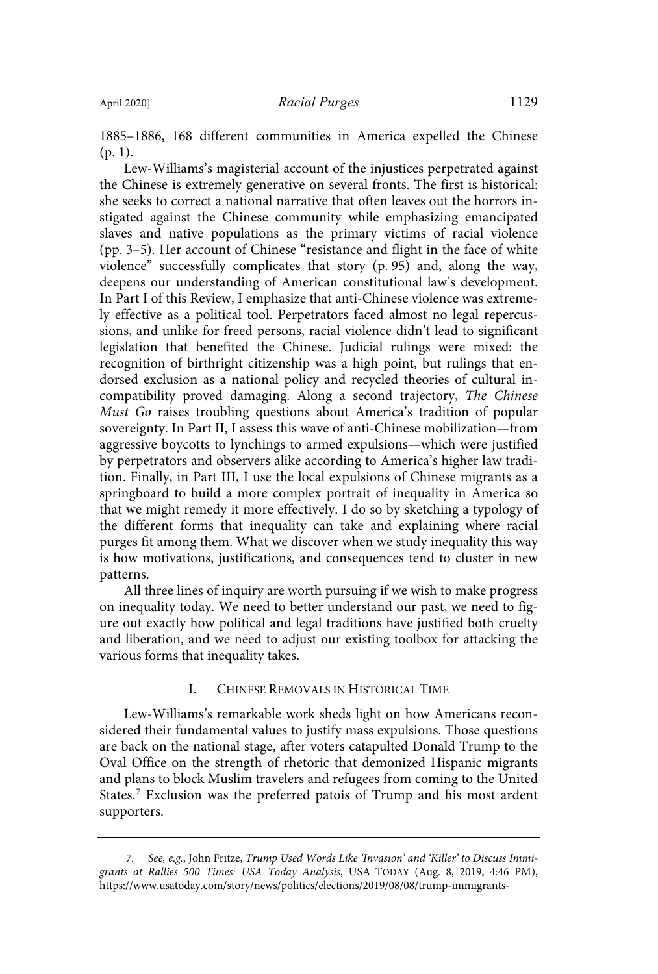1885–1886, 168 different communities in America expelled the Chinese (p. 1).

Lew-Williams's magisterial account of the injustices perpetrated against the Chinese is extremely generative on several fronts. The first is historical: she seeks to correct a national narrative that often leaves out the horrors instigated against the Chinese community while emphasizing emancipated slaves and native populations as the primary victims of racial violence (pp. 3–5). Her account of Chinese "resistance and flight in the face of white violence" successfully complicates that story (p. 95) and, along the way, deepens our understanding of American constitutional law's development. In Part I of this Review, I emphasize that anti-Chinese violence was extremely effective as a political tool. Perpetrators faced almost no legal repercussions, and unlike for freed persons, racial violence didn't lead to significant legislation that benefited the Chinese. Judicial rulings were mixed: the recognition of birthright citizenship was a high point, but rulings that endorsed exclusion as a national policy and recycled theories of cultural incompatibility proved damaging. Along a second trajectory, The Chinese Must Go raises troubling questions about America's tradition of popular sovereignty. In Part II, I assess this wave of anti-Chinese mobilization—from aggressive boycotts to lynchings to armed expulsions—which were justified by perpetrators and observers alike according to America's higher law tradition. Finally, in Part III, I use the local expulsions of Chinese migrants as a springboard to build a more complex portrait of inequality in America so that we might remedy it more effectively. I do so by sketching a typology of the different forms that inequality can take and explaining where racial purges fit among them. What we discover when we study inequality this way is how motivations, justifications, and consequences tend to cluster in new patterns.

All three lines of inquiry are worth pursuing if we wish to make progress on inequality today. We need to better understand our past, we need to figure out exactly how political and legal traditions have justified both cruelty and liberation, and we need to adjust our existing toolbox for attacking the various forms that inequality takes.

#### I. CHINESE REMOVALS IN HISTORICAL TIME

Lew-Williams's remarkable work sheds light on how Americans reconsidered their fundamental values to justify mass expulsions. Those questions are back on the national stage, after voters catapulted Donald Trump to the Oval Office on the strength of rhetoric that demonized Hispanic migrants and plans to block Muslim travelers and refugees from coming to the United States.<sup>7</sup> Exclusion was the preferred patois of Trump and his most ardent supporters.

<sup>7</sup>. See, e.g., John Fritze, Trump Used Words Like 'Invasion' and 'Killer' to Discuss Immigrants at Rallies 500 Times: USA Today Analysis, USA TODAY (Aug. 8, 2019, 4:46 PM), https://www.usatoday.com/story/news/politics/elections/2019/08/08/trump-immigrants-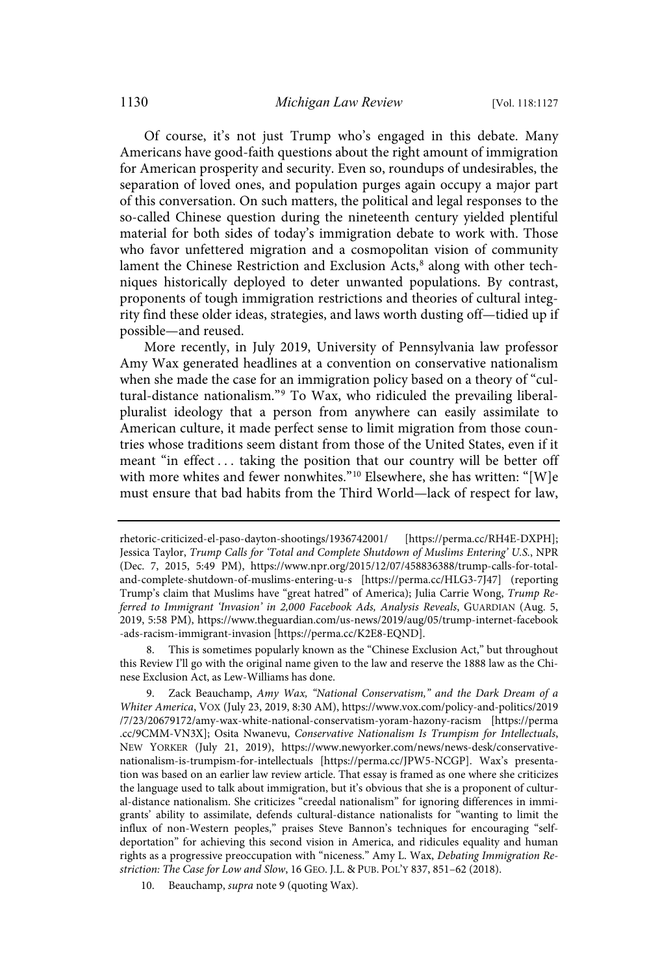Of course, it's not just Trump who's engaged in this debate. Many Americans have good-faith questions about the right amount of immigration for American prosperity and security. Even so, roundups of undesirables, the separation of loved ones, and population purges again occupy a major part of this conversation. On such matters, the political and legal responses to the so-called Chinese question during the nineteenth century yielded plentiful material for both sides of today's immigration debate to work with. Those who favor unfettered migration and a cosmopolitan vision of community lament the Chinese Restriction and Exclusion Acts, 8 along with other techniques historically deployed to deter unwanted populations. By contrast, proponents of tough immigration restrictions and theories of cultural integrity find these older ideas, strategies, and laws worth dusting off—tidied up if possible—and reused.

More recently, in July 2019, University of Pennsylvania law professor Amy Wax generated headlines at a convention on conservative nationalism when she made the case for an immigration policy based on a theory of "cultural-distance nationalism." <sup>9</sup> To Wax, who ridiculed the prevailing liberalpluralist ideology that a person from anywhere can easily assimilate to American culture, it made perfect sense to limit migration from those countries whose traditions seem distant from those of the United States, even if it meant "in effect . . . taking the position that our country will be better off with more whites and fewer nonwhites." <sup>10</sup> Elsewhere, she has written: "[W]e must ensure that bad habits from the Third World—lack of respect for law,

8. This is sometimes popularly known as the "Chinese Exclusion Act," but throughout this Review I'll go with the original name given to the law and reserve the 1888 law as the Chinese Exclusion Act, as Lew-Williams has done.

9. Zack Beauchamp, Amy Wax, "National Conservatism," and the Dark Dream of a Whiter America, VOX (July 23, 2019, 8:30 AM), https://www.vox.com/policy-and-politics/2019 /7/23/20679172/amy-wax-white-national-conservatism-yoram-hazony-racism [https://perma .cc/9CMM-VN3X]; Osita Nwanevu, Conservative Nationalism Is Trumpism for Intellectuals, NEW YORKER (July 21, 2019), https://www.newyorker.com/news/news-desk/conservativenationalism-is-trumpism-for-intellectuals [https://perma.cc/JPW5-NCGP]. Wax's presentation was based on an earlier law review article. That essay is framed as one where she criticizes the language used to talk about immigration, but it's obvious that she is a proponent of cultural-distance nationalism. She criticizes "creedal nationalism" for ignoring differences in immigrants' ability to assimilate, defends cultural-distance nationalists for "wanting to limit the influx of non-Western peoples," praises Steve Bannon's techniques for encouraging "selfdeportation" for achieving this second vision in America, and ridicules equality and human rights as a progressive preoccupation with "niceness." Amy L. Wax, Debating Immigration Restriction: The Case for Low and Slow, 16 GEO. J.L. & PUB. POL'Y 837, 851–62 (2018).

10. Beauchamp, *supra* note 9 (quoting Wax).

rhetoric-criticized-el-paso-dayton-shootings/1936742001/ [https://perma.cc/RH4E-DXPH]; Jessica Taylor, Trump Calls for 'Total and Complete Shutdown of Muslims Entering' U.S., NPR (Dec. 7, 2015, 5:49 PM), https://www.npr.org/2015/12/07/458836388/trump-calls-for-totaland-complete-shutdown-of-muslims-entering-u-s [https://perma.cc/HLG3-7J47] (reporting Trump's claim that Muslims have "great hatred" of America); Julia Carrie Wong, Trump Referred to Immigrant 'Invasion' in 2,000 Facebook Ads, Analysis Reveals, GUARDIAN (Aug. 5, 2019, 5:58 PM), https://www.theguardian.com/us-news/2019/aug/05/trump-internet-facebook -ads-racism-immigrant-invasion [https://perma.cc/K2E8-EQND].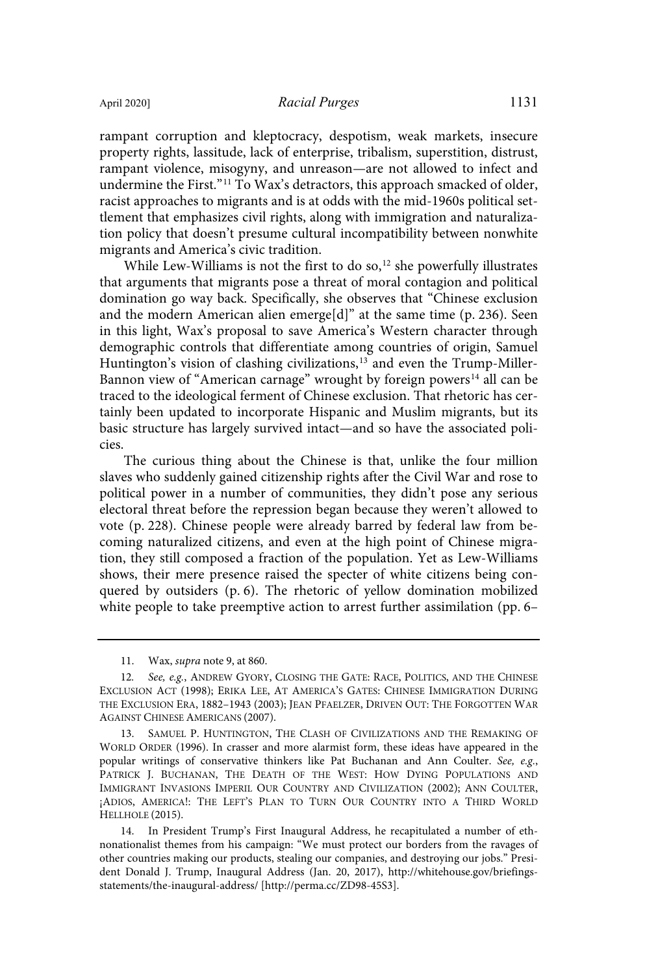rampant corruption and kleptocracy, despotism, weak markets, insecure property rights, lassitude, lack of enterprise, tribalism, superstition, distrust, rampant violence, misogyny, and unreason—are not allowed to infect and undermine the First."<sup>11</sup> To Wax's detractors, this approach smacked of older, racist approaches to migrants and is at odds with the mid-1960s political settlement that emphasizes civil rights, along with immigration and naturalization policy that doesn't presume cultural incompatibility between nonwhite migrants and America's civic tradition.

While Lew-Williams is not the first to do so, $12$  she powerfully illustrates that arguments that migrants pose a threat of moral contagion and political domination go way back. Specifically, she observes that "Chinese exclusion and the modern American alien emerge[d]" at the same time (p. 236). Seen in this light, Wax's proposal to save America's Western character through demographic controls that differentiate among countries of origin, Samuel Huntington's vision of clashing civilizations,<sup>13</sup> and even the Trump-Miller-Bannon view of "American carnage" wrought by foreign powers <sup>14</sup> all can be traced to the ideological ferment of Chinese exclusion. That rhetoric has certainly been updated to incorporate Hispanic and Muslim migrants, but its basic structure has largely survived intact—and so have the associated policies.

The curious thing about the Chinese is that, unlike the four million slaves who suddenly gained citizenship rights after the Civil War and rose to political power in a number of communities, they didn't pose any serious electoral threat before the repression began because they weren't allowed to vote (p. 228). Chinese people were already barred by federal law from becoming naturalized citizens, and even at the high point of Chinese migration, they still composed a fraction of the population. Yet as Lew-Williams shows, their mere presence raised the specter of white citizens being conquered by outsiders (p. 6). The rhetoric of yellow domination mobilized white people to take preemptive action to arrest further assimilation (pp. 6–

11. Wax, supra note 9, at 860.

13. SAMUEL P. HUNTINGTON, THE CLASH OF CIVILIZATIONS AND THE REMAKING OF WORLD ORDER (1996). In crasser and more alarmist form, these ideas have appeared in the popular writings of conservative thinkers like Pat Buchanan and Ann Coulter. See, e.g., PATRICK J. BUCHANAN, THE DEATH OF THE WEST: HOW DYING POPULATIONS AND IMMIGRANT INVASIONS IMPERIL OUR COUNTRY AND CIVILIZATION (2002); ANN COULTER, ¡ADIOS, AMERICA!: THE LEFT'S PLAN TO TURN OUR COUNTRY INTO A THIRD WORLD HELLHOLE (2015).

14. In President Trump's First Inaugural Address, he recapitulated a number of ethnonationalist themes from his campaign: "We must protect our borders from the ravages of other countries making our products, stealing our companies, and destroying our jobs." President Donald J. Trump, Inaugural Address (Jan. 20, 2017), http://whitehouse.gov/briefingsstatements/the-inaugural-address/ [http://perma.cc/ZD98-45S3].

<sup>12.</sup> See, e.g., ANDREW GYORY, CLOSING THE GATE: RACE, POLITICS, AND THE CHINESE EXCLUSION ACT (1998); ERIKA LEE, AT AMERICA'S GATES: CHINESE IMMIGRATION DURING THE EXCLUSION ERA, 1882–1943 (2003); JEAN PFAELZER, DRIVEN OUT: THE FORGOTTEN WAR AGAINST CHINESE AMERICANS (2007).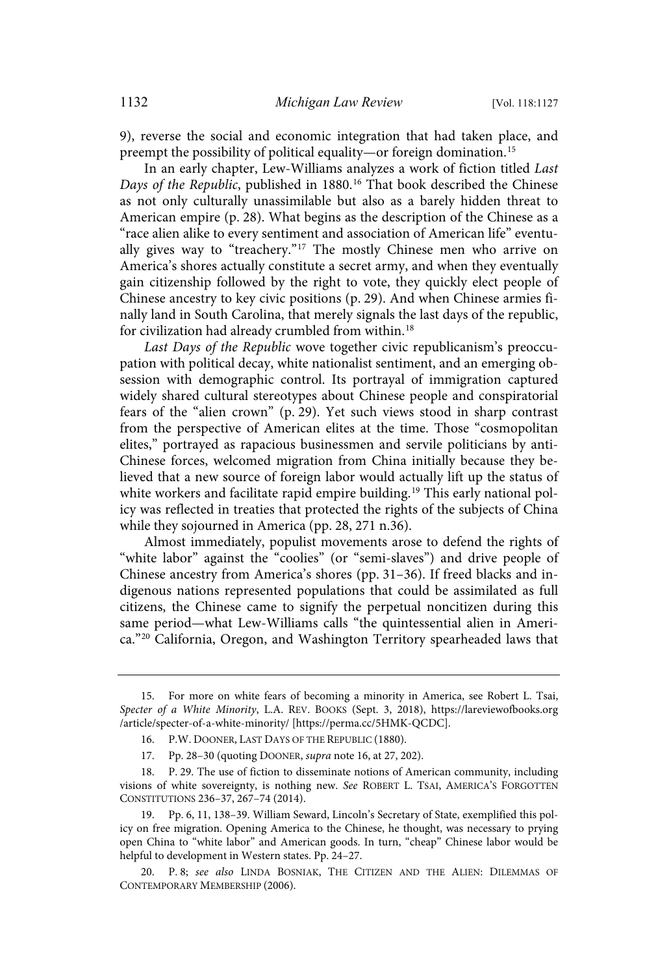9), reverse the social and economic integration that had taken place, and preempt the possibility of political equality—or foreign domination. 15

In an early chapter, Lew-Williams analyzes a work of fiction titled Last Days of the Republic, published in 1880.<sup>16</sup> That book described the Chinese as not only culturally unassimilable but also as a barely hidden threat to American empire (p. 28). What begins as the description of the Chinese as a "race alien alike to every sentiment and association of American life" eventually gives way to "treachery." <sup>17</sup> The mostly Chinese men who arrive on America's shores actually constitute a secret army, and when they eventually gain citizenship followed by the right to vote, they quickly elect people of Chinese ancestry to key civic positions (p. 29). And when Chinese armies finally land in South Carolina, that merely signals the last days of the republic, for civilization had already crumbled from within.<sup>18</sup>

Last Days of the Republic wove together civic republicanism's preoccupation with political decay, white nationalist sentiment, and an emerging obsession with demographic control. Its portrayal of immigration captured widely shared cultural stereotypes about Chinese people and conspiratorial fears of the "alien crown" (p. 29). Yet such views stood in sharp contrast from the perspective of American elites at the time. Those "cosmopolitan elites," portrayed as rapacious businessmen and servile politicians by anti-Chinese forces, welcomed migration from China initially because they believed that a new source of foreign labor would actually lift up the status of white workers and facilitate rapid empire building.<sup>19</sup> This early national policy was reflected in treaties that protected the rights of the subjects of China while they sojourned in America (pp. 28, 271 n.36).

Almost immediately, populist movements arose to defend the rights of "white labor" against the "coolies" (or "semi-slaves") and drive people of Chinese ancestry from America's shores (pp. 31–36). If freed blacks and indigenous nations represented populations that could be assimilated as full citizens, the Chinese came to signify the perpetual noncitizen during this same period—what Lew-Williams calls "the quintessential alien in America."<sup>20</sup> California, Oregon, and Washington Territory spearheaded laws that

<sup>15.</sup> For more on white fears of becoming a minority in America, see Robert L. Tsai, Specter of a White Minority, L.A. REV. BOOKS (Sept. 3, 2018), https://lareviewofbooks.org /article/specter-of-a-white-minority/ [https://perma.cc/5HMK-QCDC].

<sup>16.</sup> P.W. DOONER, LAST DAYS OF THE REPUBLIC (1880).

<sup>17.</sup> Pp. 28–30 (quoting DOONER, supra note 16, at 27, 202).

<sup>18.</sup> P. 29. The use of fiction to disseminate notions of American community, including visions of white sovereignty, is nothing new. See ROBERT L. TSAI, AMERICA'S FORGOTTEN CONSTITUTIONS 236–37, 267–74 (2014).

<sup>19.</sup> Pp. 6, 11, 138–39. William Seward, Lincoln's Secretary of State, exemplified this policy on free migration. Opening America to the Chinese, he thought, was necessary to prying open China to "white labor" and American goods. In turn, "cheap" Chinese labor would be helpful to development in Western states. Pp. 24–27.

<sup>20.</sup> P. 8; see also LINDA BOSNIAK, THE CITIZEN AND THE ALIEN: DILEMMAS OF CONTEMPORARY MEMBERSHIP (2006).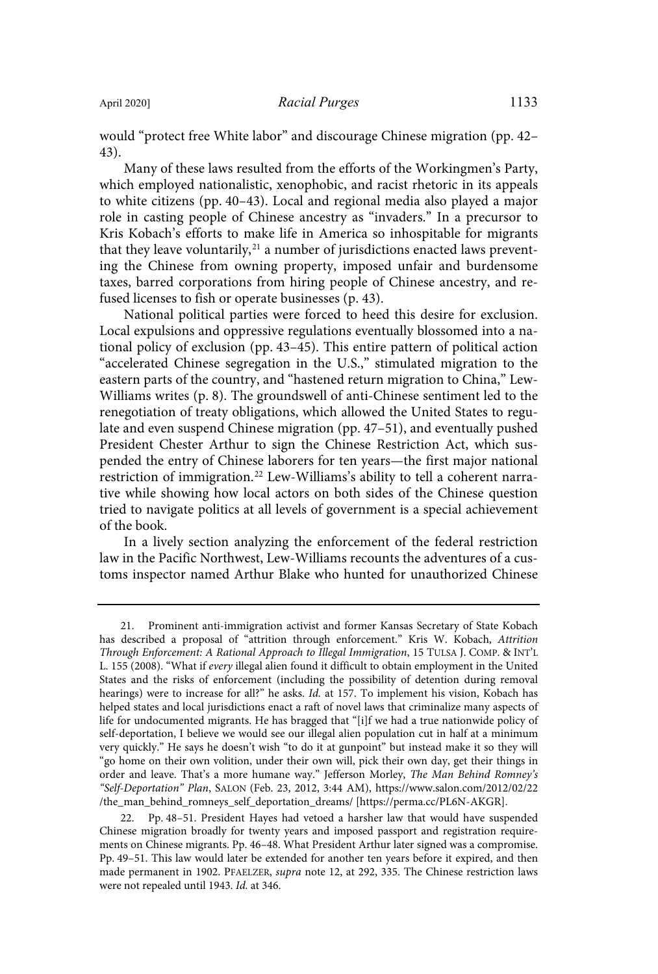would "protect free White labor" and discourage Chinese migration (pp. 42– 43).

Many of these laws resulted from the efforts of the Workingmen's Party, which employed nationalistic, xenophobic, and racist rhetoric in its appeals to white citizens (pp. 40–43). Local and regional media also played a major role in casting people of Chinese ancestry as "invaders." In a precursor to Kris Kobach's efforts to make life in America so inhospitable for migrants that they leave voluntarily,<sup>21</sup> a number of jurisdictions enacted laws preventing the Chinese from owning property, imposed unfair and burdensome taxes, barred corporations from hiring people of Chinese ancestry, and refused licenses to fish or operate businesses (p. 43).

National political parties were forced to heed this desire for exclusion. Local expulsions and oppressive regulations eventually blossomed into a national policy of exclusion (pp. 43–45). This entire pattern of political action "accelerated Chinese segregation in the U.S.," stimulated migration to the eastern parts of the country, and "hastened return migration to China," Lew-Williams writes (p. 8). The groundswell of anti-Chinese sentiment led to the renegotiation of treaty obligations, which allowed the United States to regulate and even suspend Chinese migration (pp. 47–51), and eventually pushed President Chester Arthur to sign the Chinese Restriction Act, which suspended the entry of Chinese laborers for ten years—the first major national restriction of immigration.<sup>22</sup> Lew-Williams's ability to tell a coherent narrative while showing how local actors on both sides of the Chinese question tried to navigate politics at all levels of government is a special achievement of the book.

In a lively section analyzing the enforcement of the federal restriction law in the Pacific Northwest, Lew-Williams recounts the adventures of a customs inspector named Arthur Blake who hunted for unauthorized Chinese

<sup>21.</sup> Prominent anti-immigration activist and former Kansas Secretary of State Kobach has described a proposal of "attrition through enforcement." Kris W. Kobach, Attrition Through Enforcement: A Rational Approach to Illegal Immigration, 15 TULSA J. COMP. & INT'L L. 155 (2008). "What if every illegal alien found it difficult to obtain employment in the United States and the risks of enforcement (including the possibility of detention during removal hearings) were to increase for all?" he asks. Id. at 157. To implement his vision, Kobach has helped states and local jurisdictions enact a raft of novel laws that criminalize many aspects of life for undocumented migrants. He has bragged that "[i]f we had a true nationwide policy of self-deportation, I believe we would see our illegal alien population cut in half at a minimum very quickly." He says he doesn't wish "to do it at gunpoint" but instead make it so they will "go home on their own volition, under their own will, pick their own day, get their things in order and leave. That's a more humane way." Jefferson Morley, The Man Behind Romney's "Self-Deportation" Plan, SALON (Feb. 23, 2012, 3:44 AM), https://www.salon.com/2012/02/22 /the\_man\_behind\_romneys\_self\_deportation\_dreams/ [https://perma.cc/PL6N-AKGR].

<sup>22.</sup> Pp. 48–51. President Hayes had vetoed a harsher law that would have suspended Chinese migration broadly for twenty years and imposed passport and registration requirements on Chinese migrants. Pp. 46–48. What President Arthur later signed was a compromise. Pp. 49–51. This law would later be extended for another ten years before it expired, and then made permanent in 1902. PFAELZER, supra note 12, at 292, 335. The Chinese restriction laws were not repealed until 1943. Id. at 346.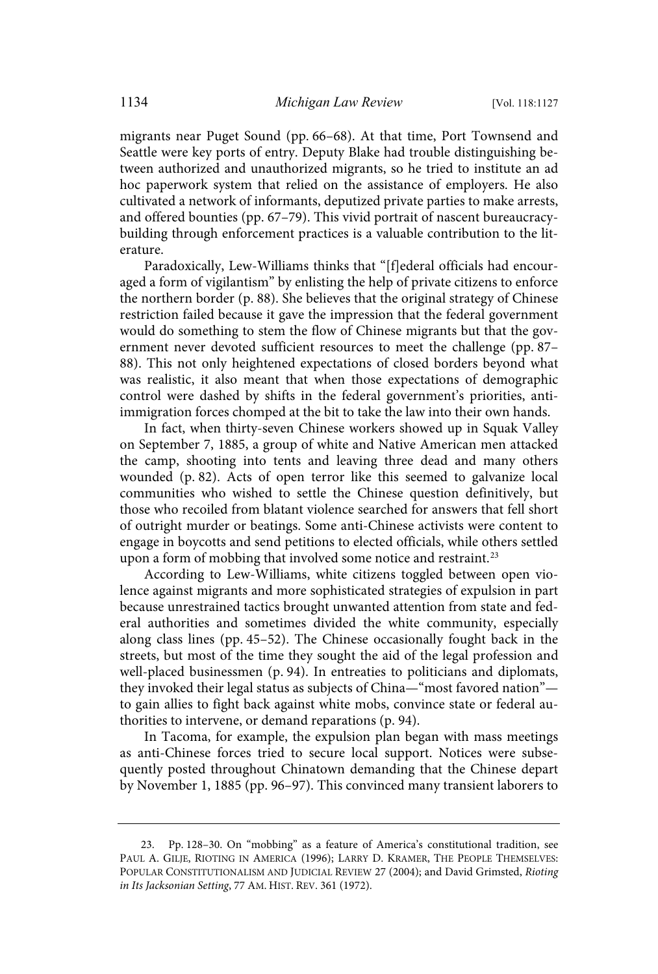migrants near Puget Sound (pp. 66–68). At that time, Port Townsend and Seattle were key ports of entry. Deputy Blake had trouble distinguishing between authorized and unauthorized migrants, so he tried to institute an ad hoc paperwork system that relied on the assistance of employers. He also cultivated a network of informants, deputized private parties to make arrests, and offered bounties (pp. 67–79). This vivid portrait of nascent bureaucracybuilding through enforcement practices is a valuable contribution to the literature.

Paradoxically, Lew-Williams thinks that "[f]ederal officials had encouraged a form of vigilantism" by enlisting the help of private citizens to enforce the northern border (p. 88). She believes that the original strategy of Chinese restriction failed because it gave the impression that the federal government would do something to stem the flow of Chinese migrants but that the government never devoted sufficient resources to meet the challenge (pp. 87– 88). This not only heightened expectations of closed borders beyond what was realistic, it also meant that when those expectations of demographic control were dashed by shifts in the federal government's priorities, antiimmigration forces chomped at the bit to take the law into their own hands.

In fact, when thirty-seven Chinese workers showed up in Squak Valley on September 7, 1885, a group of white and Native American men attacked the camp, shooting into tents and leaving three dead and many others wounded (p. 82). Acts of open terror like this seemed to galvanize local communities who wished to settle the Chinese question definitively, but those who recoiled from blatant violence searched for answers that fell short of outright murder or beatings. Some anti-Chinese activists were content to engage in boycotts and send petitions to elected officials, while others settled upon a form of mobbing that involved some notice and restraint.<sup>23</sup>

According to Lew-Williams, white citizens toggled between open violence against migrants and more sophisticated strategies of expulsion in part because unrestrained tactics brought unwanted attention from state and federal authorities and sometimes divided the white community, especially along class lines (pp. 45–52). The Chinese occasionally fought back in the streets, but most of the time they sought the aid of the legal profession and well-placed businessmen (p. 94). In entreaties to politicians and diplomats, they invoked their legal status as subjects of China—"most favored nation" to gain allies to fight back against white mobs, convince state or federal authorities to intervene, or demand reparations (p. 94).

In Tacoma, for example, the expulsion plan began with mass meetings as anti-Chinese forces tried to secure local support. Notices were subsequently posted throughout Chinatown demanding that the Chinese depart by November 1, 1885 (pp. 96–97). This convinced many transient laborers to

<sup>23.</sup> Pp. 128–30. On "mobbing" as a feature of America's constitutional tradition, see PAUL A. GILJE, RIOTING IN AMERICA (1996); LARRY D. KRAMER, THE PEOPLE THEMSELVES: POPULAR CONSTITUTIONALISM AND JUDICIAL REVIEW 27 (2004); and David Grimsted, Rioting in Its Jacksonian Setting, 77 AM. HIST. REV. 361 (1972).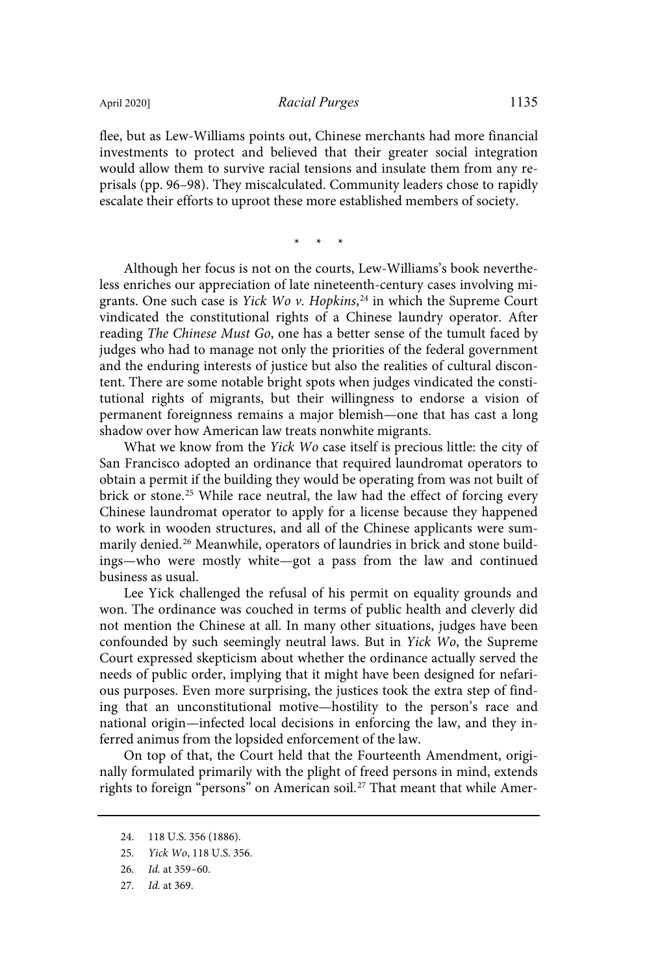flee, but as Lew-Williams points out, Chinese merchants had more financial investments to protect and believed that their greater social integration would allow them to survive racial tensions and insulate them from any reprisals (pp. 96–98). They miscalculated. Community leaders chose to rapidly escalate their efforts to uproot these more established members of society.

\* \* \*

Although her focus is not on the courts, Lew-Williams's book nevertheless enriches our appreciation of late nineteenth-century cases involving migrants. One such case is *Yick Wo v. Hopkins*,<sup>24</sup> in which the Supreme Court vindicated the constitutional rights of a Chinese laundry operator. After reading The Chinese Must Go, one has a better sense of the tumult faced by judges who had to manage not only the priorities of the federal government and the enduring interests of justice but also the realities of cultural discontent. There are some notable bright spots when judges vindicated the constitutional rights of migrants, but their willingness to endorse a vision of permanent foreignness remains a major blemish—one that has cast a long shadow over how American law treats nonwhite migrants.

What we know from the Yick Wo case itself is precious little: the city of San Francisco adopted an ordinance that required laundromat operators to obtain a permit if the building they would be operating from was not built of brick or stone.<sup>25</sup> While race neutral, the law had the effect of forcing every Chinese laundromat operator to apply for a license because they happened to work in wooden structures, and all of the Chinese applicants were summarily denied.<sup>26</sup> Meanwhile, operators of laundries in brick and stone buildings—who were mostly white—got a pass from the law and continued business as usual.

Lee Yick challenged the refusal of his permit on equality grounds and won. The ordinance was couched in terms of public health and cleverly did not mention the Chinese at all. In many other situations, judges have been confounded by such seemingly neutral laws. But in Yick Wo, the Supreme Court expressed skepticism about whether the ordinance actually served the needs of public order, implying that it might have been designed for nefarious purposes. Even more surprising, the justices took the extra step of finding that an unconstitutional motive—hostility to the person's race and national origin—infected local decisions in enforcing the law, and they inferred animus from the lopsided enforcement of the law.

On top of that, the Court held that the Fourteenth Amendment, originally formulated primarily with the plight of freed persons in mind, extends rights to foreign "persons" on American soil.<sup>27</sup> That meant that while Amer-

27. Id. at 369.

<sup>24.</sup> 118 U.S. 356 (1886).

<sup>25</sup>. Yick Wo, 118 U.S. 356.

<sup>26</sup>. Id. at 359–60.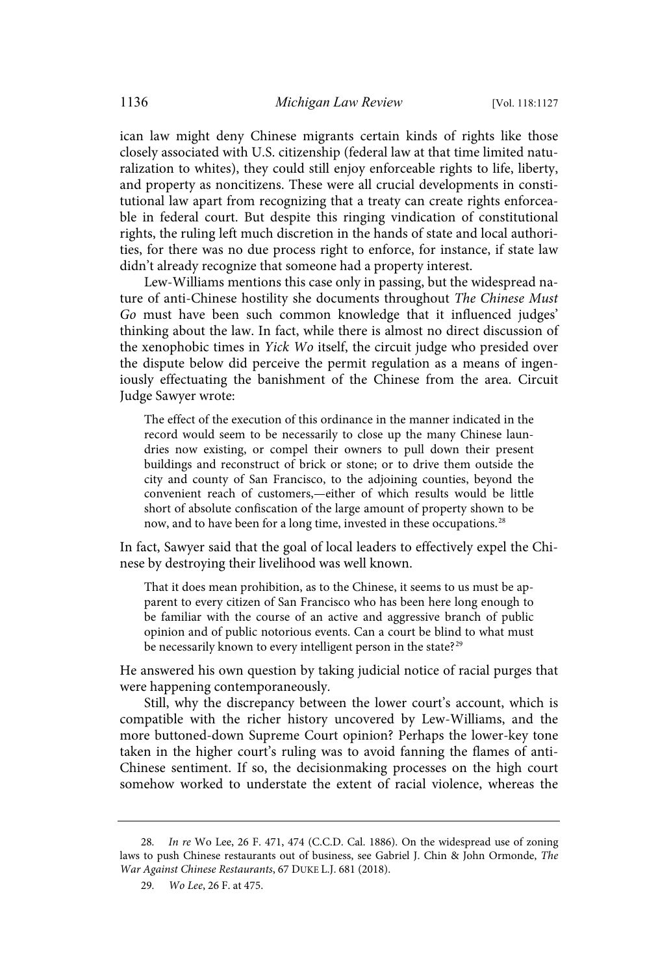ican law might deny Chinese migrants certain kinds of rights like those closely associated with U.S. citizenship (federal law at that time limited naturalization to whites), they could still enjoy enforceable rights to life, liberty, and property as noncitizens. These were all crucial developments in constitutional law apart from recognizing that a treaty can create rights enforceable in federal court. But despite this ringing vindication of constitutional rights, the ruling left much discretion in the hands of state and local authorities, for there was no due process right to enforce, for instance, if state law didn't already recognize that someone had a property interest.

Lew-Williams mentions this case only in passing, but the widespread nature of anti-Chinese hostility she documents throughout The Chinese Must Go must have been such common knowledge that it influenced judges' thinking about the law. In fact, while there is almost no direct discussion of the xenophobic times in Yick Wo itself, the circuit judge who presided over the dispute below did perceive the permit regulation as a means of ingeniously effectuating the banishment of the Chinese from the area. Circuit Judge Sawyer wrote:

The effect of the execution of this ordinance in the manner indicated in the record would seem to be necessarily to close up the many Chinese laundries now existing, or compel their owners to pull down their present buildings and reconstruct of brick or stone; or to drive them outside the city and county of San Francisco, to the adjoining counties, beyond the convenient reach of customers,—either of which results would be little short of absolute confiscation of the large amount of property shown to be now, and to have been for a long time, invested in these occupations. 28

In fact, Sawyer said that the goal of local leaders to effectively expel the Chinese by destroying their livelihood was well known.

That it does mean prohibition, as to the Chinese, it seems to us must be apparent to every citizen of San Francisco who has been here long enough to be familiar with the course of an active and aggressive branch of public opinion and of public notorious events. Can a court be blind to what must be necessarily known to every intelligent person in the state?<sup>29</sup>

He answered his own question by taking judicial notice of racial purges that were happening contemporaneously.

Still, why the discrepancy between the lower court's account, which is compatible with the richer history uncovered by Lew-Williams, and the more buttoned-down Supreme Court opinion? Perhaps the lower-key tone taken in the higher court's ruling was to avoid fanning the flames of anti-Chinese sentiment. If so, the decisionmaking processes on the high court somehow worked to understate the extent of racial violence, whereas the

<sup>28</sup>. In re Wo Lee, 26 F. 471, 474 (C.C.D. Cal. 1886). On the widespread use of zoning laws to push Chinese restaurants out of business, see Gabriel J. Chin & John Ormonde, The War Against Chinese Restaurants, 67 DUKE L.J. 681 (2018).

<sup>29</sup>. Wo Lee, 26 F. at 475.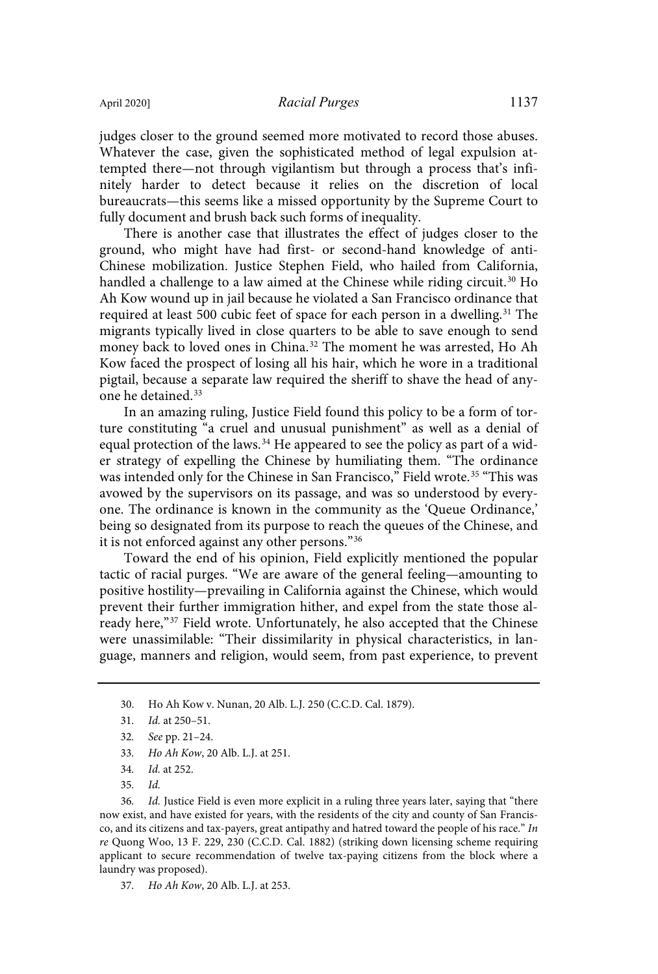judges closer to the ground seemed more motivated to record those abuses. Whatever the case, given the sophisticated method of legal expulsion attempted there—not through vigilantism but through a process that's infinitely harder to detect because it relies on the discretion of local bureaucrats—this seems like a missed opportunity by the Supreme Court to fully document and brush back such forms of inequality.

There is another case that illustrates the effect of judges closer to the ground, who might have had first- or second-hand knowledge of anti-Chinese mobilization. Justice Stephen Field, who hailed from California, handled a challenge to a law aimed at the Chinese while riding circuit. <sup>30</sup> Ho Ah Kow wound up in jail because he violated a San Francisco ordinance that required at least 500 cubic feet of space for each person in a dwelling. <sup>31</sup> The migrants typically lived in close quarters to be able to save enough to send money back to loved ones in China. <sup>32</sup> The moment he was arrested, Ho Ah Kow faced the prospect of losing all his hair, which he wore in a traditional pigtail, because a separate law required the sheriff to shave the head of anyone he detained.<sup>33</sup>

In an amazing ruling, Justice Field found this policy to be a form of torture constituting "a cruel and unusual punishment" as well as a denial of equal protection of the laws. <sup>34</sup> He appeared to see the policy as part of a wider strategy of expelling the Chinese by humiliating them. "The ordinance was intended only for the Chinese in San Francisco," Field wrote.<sup>35</sup> "This was avowed by the supervisors on its passage, and was so understood by everyone. The ordinance is known in the community as the 'Queue Ordinance,' being so designated from its purpose to reach the queues of the Chinese, and it is not enforced against any other persons."<sup>36</sup>

Toward the end of his opinion, Field explicitly mentioned the popular tactic of racial purges. "We are aware of the general feeling—amounting to positive hostility—prevailing in California against the Chinese, which would prevent their further immigration hither, and expel from the state those already here,"<sup>37</sup> Field wrote. Unfortunately, he also accepted that the Chinese were unassimilable: "Their dissimilarity in physical characteristics, in language, manners and religion, would seem, from past experience, to prevent

- 33. Ho Ah Kow, 20 Alb. L.J. at 251.
- 34. Id. at 252.
- 35. Id.

36. Id. Justice Field is even more explicit in a ruling three years later, saying that "there now exist, and have existed for years, with the residents of the city and county of San Francisco, and its citizens and tax-payers, great antipathy and hatred toward the people of his race." In re Quong Woo, 13 F. 229, 230 (C.C.D. Cal. 1882) (striking down licensing scheme requiring applicant to secure recommendation of twelve tax-paying citizens from the block where a laundry was proposed).

37. Ho Ah Kow, 20 Alb. L.J. at 253.

<sup>30.</sup> Ho Ah Kow v. Nunan, 20 Alb. L.J. 250 (C.C.D. Cal. 1879).

<sup>31</sup>. Id. at 250–51.

<sup>32</sup>. See pp. 21–24.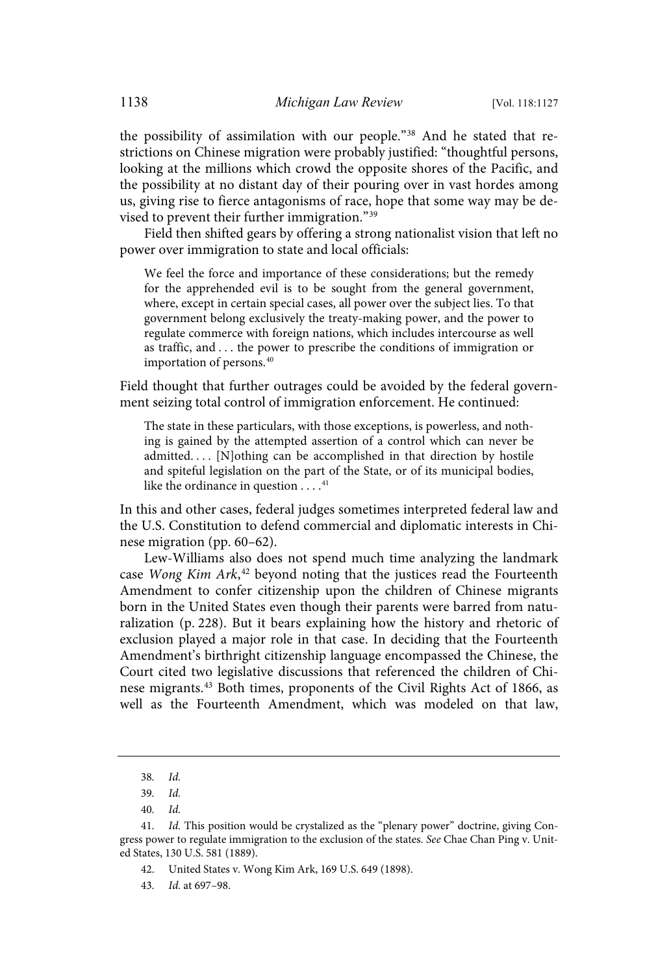the possibility of assimilation with our people." <sup>38</sup> And he stated that restrictions on Chinese migration were probably justified: "thoughtful persons, looking at the millions which crowd the opposite shores of the Pacific, and the possibility at no distant day of their pouring over in vast hordes among us, giving rise to fierce antagonisms of race, hope that some way may be devised to prevent their further immigration."<sup>39</sup>

Field then shifted gears by offering a strong nationalist vision that left no power over immigration to state and local officials:

We feel the force and importance of these considerations; but the remedy for the apprehended evil is to be sought from the general government, where, except in certain special cases, all power over the subject lies. To that government belong exclusively the treaty-making power, and the power to regulate commerce with foreign nations, which includes intercourse as well as traffic, and . . . the power to prescribe the conditions of immigration or importation of persons.<sup>40</sup>

Field thought that further outrages could be avoided by the federal government seizing total control of immigration enforcement. He continued:

The state in these particulars, with those exceptions, is powerless, and nothing is gained by the attempted assertion of a control which can never be admitted.... [N]othing can be accomplished in that direction by hostile and spiteful legislation on the part of the State, or of its municipal bodies, like the ordinance in question  $\dots$ .<sup>41</sup>

In this and other cases, federal judges sometimes interpreted federal law and the U.S. Constitution to defend commercial and diplomatic interests in Chinese migration (pp. 60–62).

Lew-Williams also does not spend much time analyzing the landmark case Wong Kim Ark,<sup>42</sup> beyond noting that the justices read the Fourteenth Amendment to confer citizenship upon the children of Chinese migrants born in the United States even though their parents were barred from naturalization (p. 228). But it bears explaining how the history and rhetoric of exclusion played a major role in that case. In deciding that the Fourteenth Amendment's birthright citizenship language encompassed the Chinese, the Court cited two legislative discussions that referenced the children of Chinese migrants.<sup>43</sup> Both times, proponents of the Civil Rights Act of 1866, as well as the Fourteenth Amendment, which was modeled on that law,

<sup>38</sup>. Id.

<sup>39</sup>. Id.

<sup>40</sup>. Id.

<sup>41</sup>. Id. This position would be crystalized as the "plenary power" doctrine, giving Congress power to regulate immigration to the exclusion of the states. See Chae Chan Ping v. United States, 130 U.S. 581 (1889).

<sup>42.</sup> United States v. Wong Kim Ark, 169 U.S. 649 (1898).

<sup>43</sup>. Id. at 697–98.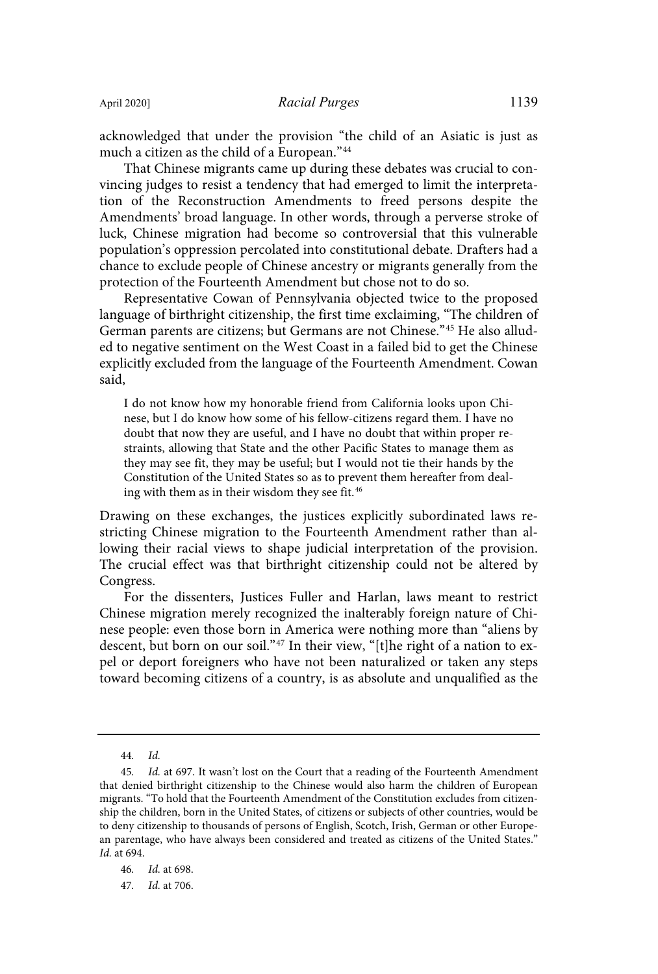acknowledged that under the provision "the child of an Asiatic is just as much a citizen as the child of a European."<sup>44</sup>

That Chinese migrants came up during these debates was crucial to convincing judges to resist a tendency that had emerged to limit the interpretation of the Reconstruction Amendments to freed persons despite the Amendments' broad language. In other words, through a perverse stroke of luck, Chinese migration had become so controversial that this vulnerable population's oppression percolated into constitutional debate. Drafters had a chance to exclude people of Chinese ancestry or migrants generally from the protection of the Fourteenth Amendment but chose not to do so.

Representative Cowan of Pennsylvania objected twice to the proposed language of birthright citizenship, the first time exclaiming, "The children of German parents are citizens; but Germans are not Chinese."<sup>45</sup> He also alluded to negative sentiment on the West Coast in a failed bid to get the Chinese explicitly excluded from the language of the Fourteenth Amendment. Cowan said,

I do not know how my honorable friend from California looks upon Chinese, but I do know how some of his fellow-citizens regard them. I have no doubt that now they are useful, and I have no doubt that within proper restraints, allowing that State and the other Pacific States to manage them as they may see fit, they may be useful; but I would not tie their hands by the Constitution of the United States so as to prevent them hereafter from dealing with them as in their wisdom they see fit. 46

Drawing on these exchanges, the justices explicitly subordinated laws restricting Chinese migration to the Fourteenth Amendment rather than allowing their racial views to shape judicial interpretation of the provision. The crucial effect was that birthright citizenship could not be altered by Congress.

For the dissenters, Justices Fuller and Harlan, laws meant to restrict Chinese migration merely recognized the inalterably foreign nature of Chinese people: even those born in America were nothing more than "aliens by descent, but born on our soil." <sup>47</sup> In their view, "[t]he right of a nation to expel or deport foreigners who have not been naturalized or taken any steps toward becoming citizens of a country, is as absolute and unqualified as the

<sup>44</sup>. Id.

<sup>45</sup>. Id. at 697. It wasn't lost on the Court that a reading of the Fourteenth Amendment that denied birthright citizenship to the Chinese would also harm the children of European migrants. "To hold that the Fourteenth Amendment of the Constitution excludes from citizenship the children, born in the United States, of citizens or subjects of other countries, would be to deny citizenship to thousands of persons of English, Scotch, Irish, German or other European parentage, who have always been considered and treated as citizens of the United States." Id. at 694.

<sup>46</sup>. Id. at 698.

<sup>47</sup>. Id. at 706.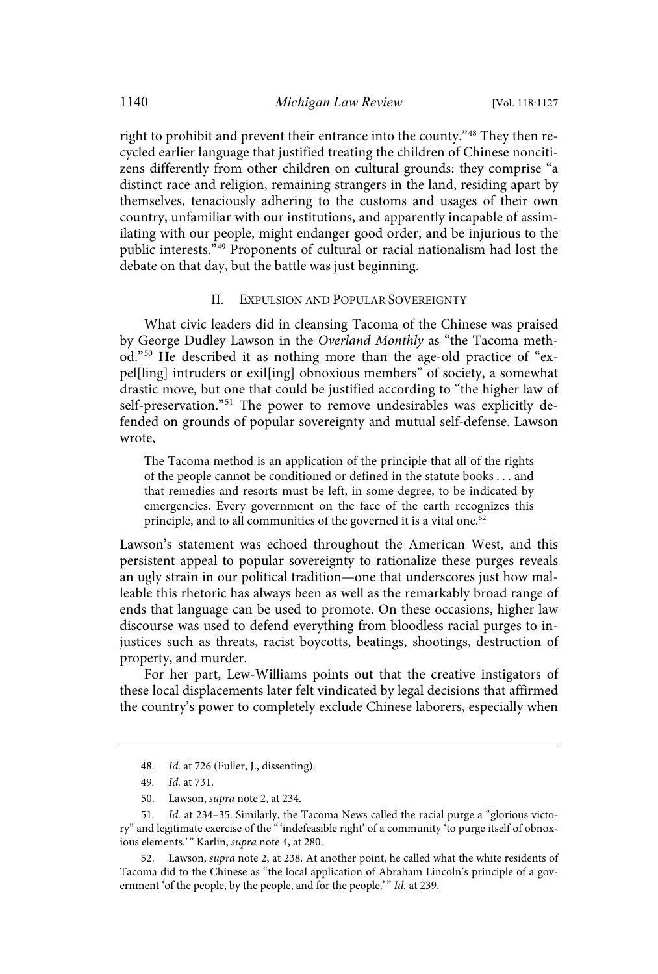right to prohibit and prevent their entrance into the county."<sup>48</sup> They then recycled earlier language that justified treating the children of Chinese noncitizens differently from other children on cultural grounds: they comprise "a distinct race and religion, remaining strangers in the land, residing apart by themselves, tenaciously adhering to the customs and usages of their own country, unfamiliar with our institutions, and apparently incapable of assimilating with our people, might endanger good order, and be injurious to the public interests." <sup>49</sup> Proponents of cultural or racial nationalism had lost the debate on that day, but the battle was just beginning.

#### II. EXPULSION AND POPULAR SOVEREIGNTY

What civic leaders did in cleansing Tacoma of the Chinese was praised by George Dudley Lawson in the Overland Monthly as "the Tacoma method."<sup>50</sup> He described it as nothing more than the age-old practice of "expel[ling] intruders or exil[ing] obnoxious members" of society, a somewhat drastic move, but one that could be justified according to "the higher law of self-preservation."<sup>51</sup> The power to remove undesirables was explicitly defended on grounds of popular sovereignty and mutual self-defense. Lawson wrote,

The Tacoma method is an application of the principle that all of the rights of the people cannot be conditioned or defined in the statute books . . . and that remedies and resorts must be left, in some degree, to be indicated by emergencies. Every government on the face of the earth recognizes this principle, and to all communities of the governed it is a vital one.<sup>52</sup>

Lawson's statement was echoed throughout the American West, and this persistent appeal to popular sovereignty to rationalize these purges reveals an ugly strain in our political tradition—one that underscores just how malleable this rhetoric has always been as well as the remarkably broad range of ends that language can be used to promote. On these occasions, higher law discourse was used to defend everything from bloodless racial purges to injustices such as threats, racist boycotts, beatings, shootings, destruction of property, and murder.

For her part, Lew-Williams points out that the creative instigators of these local displacements later felt vindicated by legal decisions that affirmed the country's power to completely exclude Chinese laborers, especially when

52. Lawson, supra note 2, at 238. At another point, he called what the white residents of Tacoma did to the Chinese as "the local application of Abraham Lincoln's principle of a government 'of the people, by the people, and for the people.'" Id. at 239.

<sup>48</sup>. Id. at 726 (Fuller, J., dissenting).

<sup>49</sup>. Id. at 731.

<sup>50.</sup> Lawson, supra note 2, at 234.

<sup>51</sup>. Id. at 234–35. Similarly, the Tacoma News called the racial purge a "glorious victory" and legitimate exercise of the "'indefeasible right' of a community 'to purge itself of obnoxious elements.'" Karlin, supra note 4, at 280.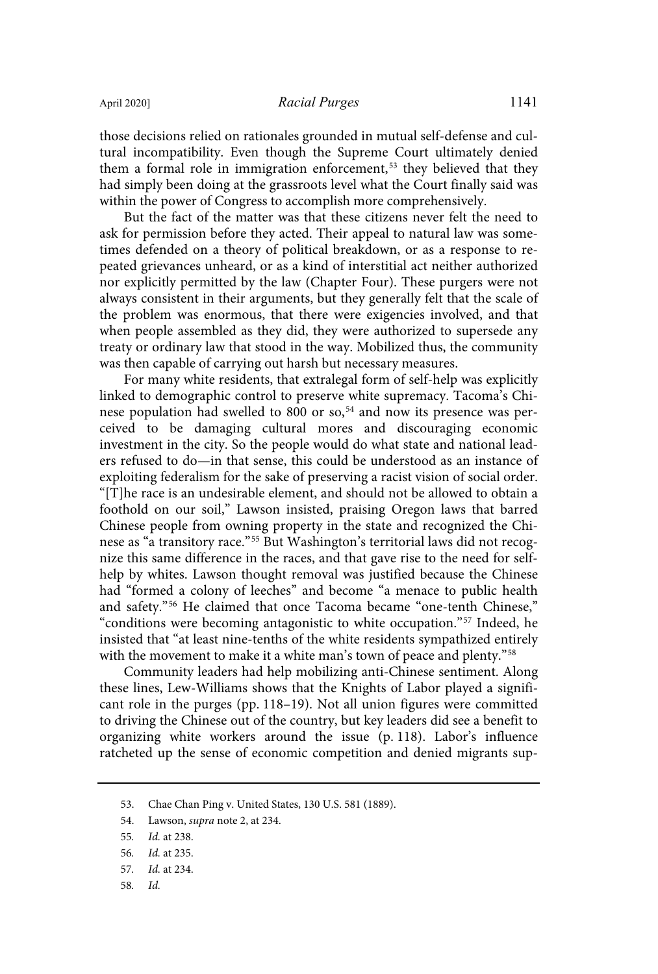those decisions relied on rationales grounded in mutual self-defense and cultural incompatibility. Even though the Supreme Court ultimately denied them a formal role in immigration enforcement,<sup>53</sup> they believed that they had simply been doing at the grassroots level what the Court finally said was within the power of Congress to accomplish more comprehensively.

But the fact of the matter was that these citizens never felt the need to ask for permission before they acted. Their appeal to natural law was sometimes defended on a theory of political breakdown, or as a response to repeated grievances unheard, or as a kind of interstitial act neither authorized nor explicitly permitted by the law (Chapter Four). These purgers were not always consistent in their arguments, but they generally felt that the scale of the problem was enormous, that there were exigencies involved, and that when people assembled as they did, they were authorized to supersede any treaty or ordinary law that stood in the way. Mobilized thus, the community was then capable of carrying out harsh but necessary measures.

For many white residents, that extralegal form of self-help was explicitly linked to demographic control to preserve white supremacy. Tacoma's Chinese population had swelled to 800 or so, <sup>54</sup> and now its presence was perceived to be damaging cultural mores and discouraging economic investment in the city. So the people would do what state and national leaders refused to do—in that sense, this could be understood as an instance of exploiting federalism for the sake of preserving a racist vision of social order. "[T]he race is an undesirable element, and should not be allowed to obtain a foothold on our soil," Lawson insisted, praising Oregon laws that barred Chinese people from owning property in the state and recognized the Chinese as "a transitory race."<sup>55</sup> But Washington's territorial laws did not recognize this same difference in the races, and that gave rise to the need for selfhelp by whites. Lawson thought removal was justified because the Chinese had "formed a colony of leeches" and become "a menace to public health and safety." <sup>56</sup> He claimed that once Tacoma became "one-tenth Chinese," "conditions were becoming antagonistic to white occupation."<sup>57</sup> Indeed, he insisted that "at least nine-tenths of the white residents sympathized entirely with the movement to make it a white man's town of peace and plenty." 58

Community leaders had help mobilizing anti-Chinese sentiment. Along these lines, Lew-Williams shows that the Knights of Labor played a significant role in the purges (pp. 118–19). Not all union figures were committed to driving the Chinese out of the country, but key leaders did see a benefit to organizing white workers around the issue (p. 118). Labor's influence ratcheted up the sense of economic competition and denied migrants sup-

58. Id.

<sup>53.</sup> Chae Chan Ping v. United States, 130 U.S. 581 (1889).

<sup>54.</sup> Lawson, *supra* note 2, at 234.

<sup>55</sup>. Id. at 238.

<sup>56</sup>. Id. at 235.

<sup>57</sup>. Id. at 234.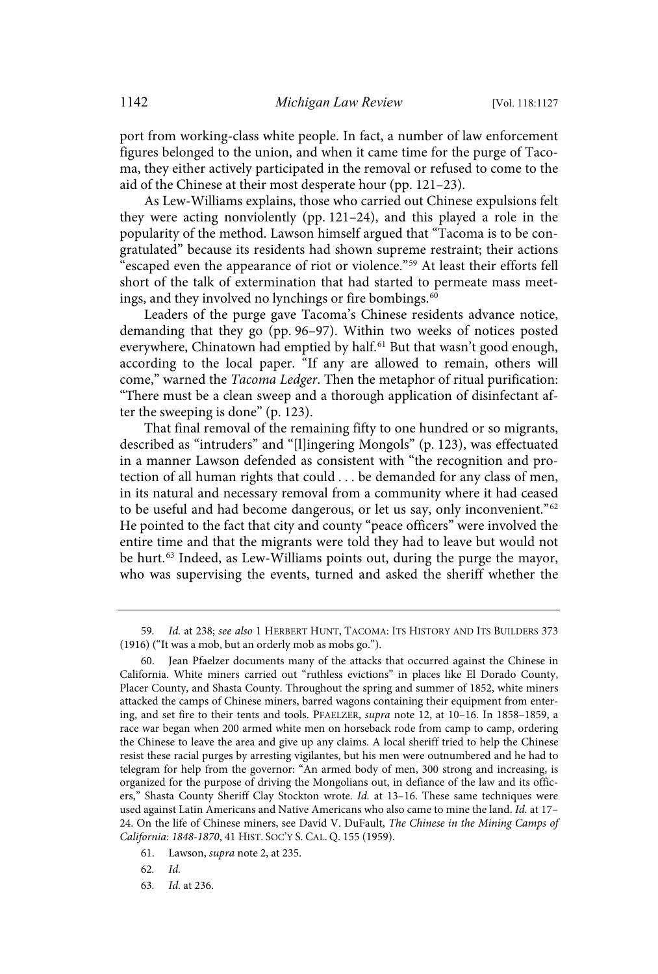port from working-class white people. In fact, a number of law enforcement figures belonged to the union, and when it came time for the purge of Tacoma, they either actively participated in the removal or refused to come to the aid of the Chinese at their most desperate hour (pp. 121–23).

As Lew-Williams explains, those who carried out Chinese expulsions felt they were acting nonviolently (pp. 121–24), and this played a role in the popularity of the method. Lawson himself argued that "Tacoma is to be congratulated" because its residents had shown supreme restraint; their actions escaped even the appearance of riot or violence."<sup>59</sup> At least their efforts fell short of the talk of extermination that had started to permeate mass meetings, and they involved no lynchings or fire bombings. 60

Leaders of the purge gave Tacoma's Chinese residents advance notice, demanding that they go (pp. 96–97). Within two weeks of notices posted everywhere, Chinatown had emptied by half. <sup>61</sup> But that wasn't good enough, according to the local paper. "If any are allowed to remain, others will come," warned the Tacoma Ledger. Then the metaphor of ritual purification: "There must be a clean sweep and a thorough application of disinfectant after the sweeping is done" (p. 123).

That final removal of the remaining fifty to one hundred or so migrants, described as "intruders" and "[l]ingering Mongols" (p. 123), was effectuated in a manner Lawson defended as consistent with "the recognition and protection of all human rights that could . . . be demanded for any class of men, in its natural and necessary removal from a community where it had ceased to be useful and had become dangerous, or let us say, only inconvenient."<sup>62</sup> He pointed to the fact that city and county "peace officers" were involved the entire time and that the migrants were told they had to leave but would not be hurt. <sup>63</sup> Indeed, as Lew-Williams points out, during the purge the mayor, who was supervising the events, turned and asked the sheriff whether the

<sup>59</sup>. Id. at 238; see also 1 HERBERT HUNT, TACOMA: ITS HISTORY AND ITS BUILDERS 373 (1916) ("It was a mob, but an orderly mob as mobs go.").

<sup>60.</sup> Jean Pfaelzer documents many of the attacks that occurred against the Chinese in California. White miners carried out "ruthless evictions" in places like El Dorado County, Placer County, and Shasta County. Throughout the spring and summer of 1852, white miners attacked the camps of Chinese miners, barred wagons containing their equipment from entering, and set fire to their tents and tools. PFAELZER, supra note 12, at 10–16. In 1858–1859, a race war began when 200 armed white men on horseback rode from camp to camp, ordering the Chinese to leave the area and give up any claims. A local sheriff tried to help the Chinese resist these racial purges by arresting vigilantes, but his men were outnumbered and he had to telegram for help from the governor: "An armed body of men, 300 strong and increasing, is organized for the purpose of driving the Mongolians out, in defiance of the law and its officers," Shasta County Sheriff Clay Stockton wrote. Id. at 13–16. These same techniques were used against Latin Americans and Native Americans who also came to mine the land. Id. at 17– 24. On the life of Chinese miners, see David V. DuFault, The Chinese in the Mining Camps of California: 1848-1870, 41 HIST. SOC'Y S. CAL. Q. 155 (1959).

<sup>61.</sup> Lawson, supra note 2, at 235.

<sup>62</sup>. Id.

<sup>63</sup>. Id. at 236.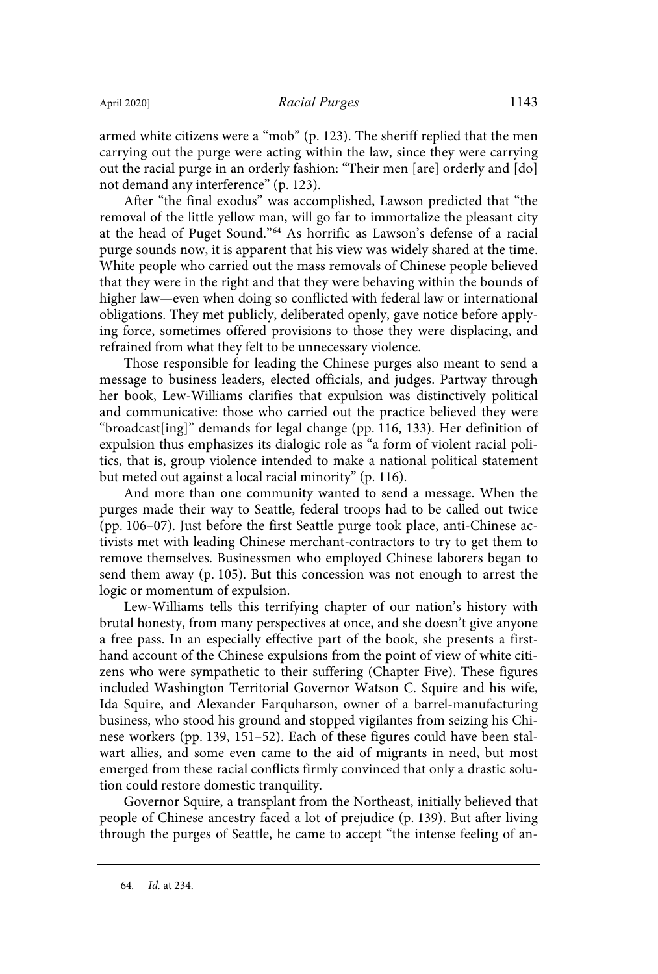armed white citizens were a "mob" (p. 123). The sheriff replied that the men carrying out the purge were acting within the law, since they were carrying out the racial purge in an orderly fashion: "Their men [are] orderly and [do] not demand any interference" (p. 123).

After "the final exodus" was accomplished, Lawson predicted that "the removal of the little yellow man, will go far to immortalize the pleasant city at the head of Puget Sound."<sup>64</sup> As horrific as Lawson's defense of a racial purge sounds now, it is apparent that his view was widely shared at the time. White people who carried out the mass removals of Chinese people believed that they were in the right and that they were behaving within the bounds of higher law—even when doing so conflicted with federal law or international obligations. They met publicly, deliberated openly, gave notice before applying force, sometimes offered provisions to those they were displacing, and refrained from what they felt to be unnecessary violence.

Those responsible for leading the Chinese purges also meant to send a message to business leaders, elected officials, and judges. Partway through her book, Lew-Williams clarifies that expulsion was distinctively political and communicative: those who carried out the practice believed they were "broadcast[ing]" demands for legal change (pp. 116, 133). Her definition of expulsion thus emphasizes its dialogic role as "a form of violent racial politics, that is, group violence intended to make a national political statement but meted out against a local racial minority" (p. 116).

And more than one community wanted to send a message. When the purges made their way to Seattle, federal troops had to be called out twice (pp. 106–07). Just before the first Seattle purge took place, anti-Chinese activists met with leading Chinese merchant-contractors to try to get them to remove themselves. Businessmen who employed Chinese laborers began to send them away (p. 105). But this concession was not enough to arrest the logic or momentum of expulsion.

Lew-Williams tells this terrifying chapter of our nation's history with brutal honesty, from many perspectives at once, and she doesn't give anyone a free pass. In an especially effective part of the book, she presents a firsthand account of the Chinese expulsions from the point of view of white citizens who were sympathetic to their suffering (Chapter Five). These figures included Washington Territorial Governor Watson C. Squire and his wife, Ida Squire, and Alexander Farquharson, owner of a barrel-manufacturing business, who stood his ground and stopped vigilantes from seizing his Chinese workers (pp. 139, 151–52). Each of these figures could have been stalwart allies, and some even came to the aid of migrants in need, but most emerged from these racial conflicts firmly convinced that only a drastic solution could restore domestic tranquility.

Governor Squire, a transplant from the Northeast, initially believed that people of Chinese ancestry faced a lot of prejudice (p. 139). But after living through the purges of Seattle, he came to accept "the intense feeling of an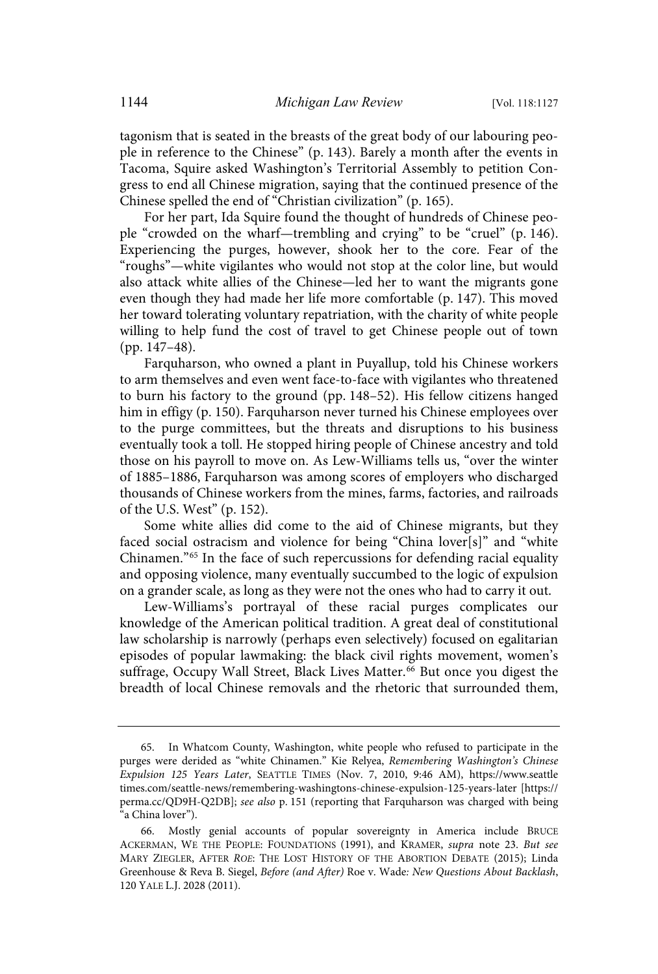tagonism that is seated in the breasts of the great body of our labouring people in reference to the Chinese" (p. 143). Barely a month after the events in Tacoma, Squire asked Washington's Territorial Assembly to petition Congress to end all Chinese migration, saying that the continued presence of the Chinese spelled the end of "Christian civilization" (p. 165).

For her part, Ida Squire found the thought of hundreds of Chinese people "crowded on the wharf—trembling and crying" to be "cruel" (p. 146). Experiencing the purges, however, shook her to the core. Fear of the "roughs"—white vigilantes who would not stop at the color line, but would also attack white allies of the Chinese—led her to want the migrants gone even though they had made her life more comfortable (p. 147). This moved her toward tolerating voluntary repatriation, with the charity of white people willing to help fund the cost of travel to get Chinese people out of town (pp. 147–48).

Farquharson, who owned a plant in Puyallup, told his Chinese workers to arm themselves and even went face-to-face with vigilantes who threatened to burn his factory to the ground (pp. 148–52). His fellow citizens hanged him in effigy (p. 150). Farquharson never turned his Chinese employees over to the purge committees, but the threats and disruptions to his business eventually took a toll. He stopped hiring people of Chinese ancestry and told those on his payroll to move on. As Lew-Williams tells us, "over the winter of 1885–1886, Farquharson was among scores of employers who discharged thousands of Chinese workers from the mines, farms, factories, and railroads of the U.S. West" (p. 152).

Some white allies did come to the aid of Chinese migrants, but they faced social ostracism and violence for being "China lover[s]" and "white Chinamen."<sup>65</sup> In the face of such repercussions for defending racial equality and opposing violence, many eventually succumbed to the logic of expulsion on a grander scale, as long as they were not the ones who had to carry it out.

Lew-Williams's portrayal of these racial purges complicates our knowledge of the American political tradition. A great deal of constitutional law scholarship is narrowly (perhaps even selectively) focused on egalitarian episodes of popular lawmaking: the black civil rights movement, women's suffrage, Occupy Wall Street, Black Lives Matter. <sup>66</sup> But once you digest the breadth of local Chinese removals and the rhetoric that surrounded them,

<sup>65.</sup> In Whatcom County, Washington, white people who refused to participate in the purges were derided as "white Chinamen." Kie Relyea, Remembering Washington's Chinese Expulsion 125 Years Later, SEATTLE TIMES (Nov. 7, 2010, 9:46 AM), https://www.seattle times.com/seattle-news/remembering-washingtons-chinese-expulsion-125-years-later [https:// perma.cc/QD9H-Q2DB]; see also p. 151 (reporting that Farquharson was charged with being "a China lover").

<sup>66.</sup> Mostly genial accounts of popular sovereignty in America include BRUCE ACKERMAN, WE THE PEOPLE: FOUNDATIONS (1991), and KRAMER, supra note 23. But see MARY ZIEGLER, AFTER ROE: THE LOST HISTORY OF THE ABORTION DEBATE (2015); Linda Greenhouse & Reva B. Siegel, Before (and After) Roe v. Wade: New Questions About Backlash, 120 YALE L.J. 2028 (2011).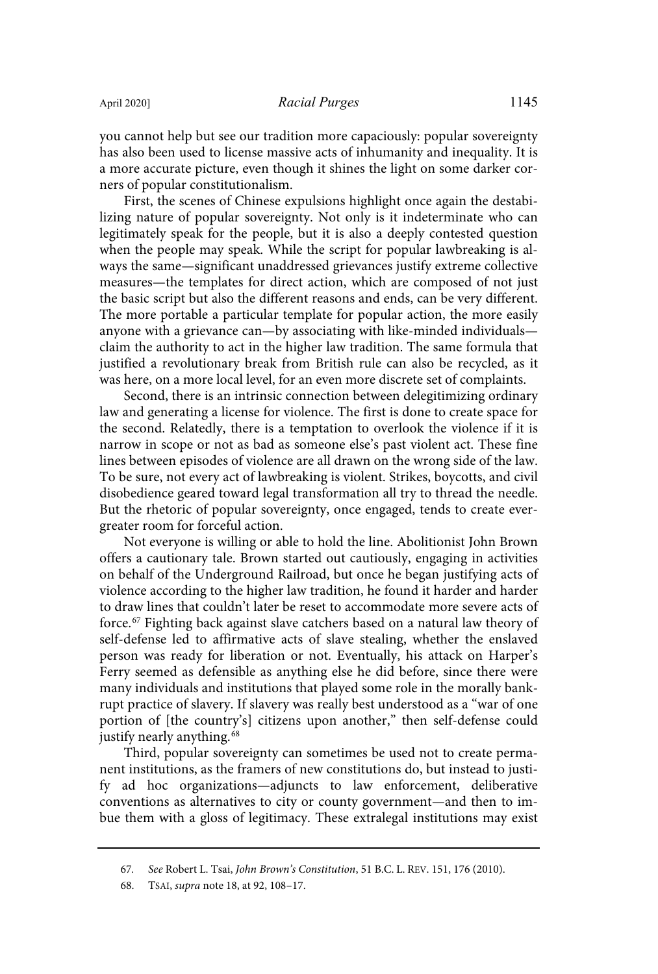you cannot help but see our tradition more capaciously: popular sovereignty has also been used to license massive acts of inhumanity and inequality. It is a more accurate picture, even though it shines the light on some darker corners of popular constitutionalism.

First, the scenes of Chinese expulsions highlight once again the destabilizing nature of popular sovereignty. Not only is it indeterminate who can legitimately speak for the people, but it is also a deeply contested question when the people may speak. While the script for popular lawbreaking is always the same—significant unaddressed grievances justify extreme collective measures—the templates for direct action, which are composed of not just the basic script but also the different reasons and ends, can be very different. The more portable a particular template for popular action, the more easily anyone with a grievance can—by associating with like-minded individuals claim the authority to act in the higher law tradition. The same formula that justified a revolutionary break from British rule can also be recycled, as it was here, on a more local level, for an even more discrete set of complaints.

Second, there is an intrinsic connection between delegitimizing ordinary law and generating a license for violence. The first is done to create space for the second. Relatedly, there is a temptation to overlook the violence if it is narrow in scope or not as bad as someone else's past violent act. These fine lines between episodes of violence are all drawn on the wrong side of the law. To be sure, not every act of lawbreaking is violent. Strikes, boycotts, and civil disobedience geared toward legal transformation all try to thread the needle. But the rhetoric of popular sovereignty, once engaged, tends to create evergreater room for forceful action.

Not everyone is willing or able to hold the line. Abolitionist John Brown offers a cautionary tale. Brown started out cautiously, engaging in activities on behalf of the Underground Railroad, but once he began justifying acts of violence according to the higher law tradition, he found it harder and harder to draw lines that couldn't later be reset to accommodate more severe acts of force. <sup>67</sup> Fighting back against slave catchers based on a natural law theory of self-defense led to affirmative acts of slave stealing, whether the enslaved person was ready for liberation or not. Eventually, his attack on Harper's Ferry seemed as defensible as anything else he did before, since there were many individuals and institutions that played some role in the morally bankrupt practice of slavery. If slavery was really best understood as a "war of one portion of [the country's] citizens upon another," then self-defense could justify nearly anything.<sup>68</sup>

Third, popular sovereignty can sometimes be used not to create permanent institutions, as the framers of new constitutions do, but instead to justify ad hoc organizations—adjuncts to law enforcement, deliberative conventions as alternatives to city or county government—and then to imbue them with a gloss of legitimacy. These extralegal institutions may exist

<sup>67</sup>. See Robert L. Tsai, John Brown's Constitution, 51 B.C. L. REV. 151, 176 (2010).

<sup>68.</sup> TSAI, supra note 18, at 92, 108–17.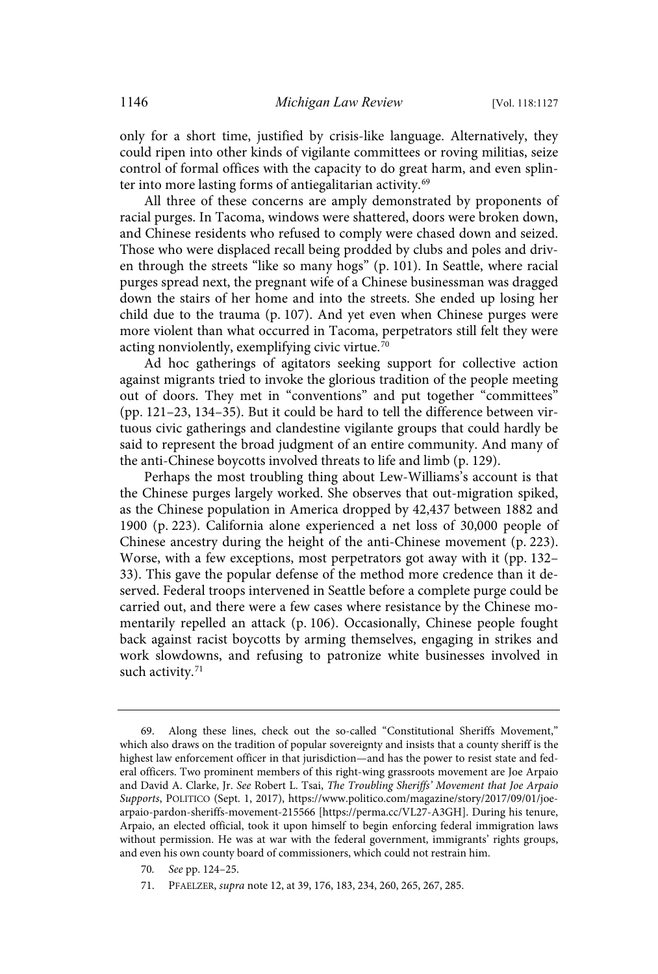only for a short time, justified by crisis-like language. Alternatively, they could ripen into other kinds of vigilante committees or roving militias, seize control of formal offices with the capacity to do great harm, and even splinter into more lasting forms of antiegalitarian activity.<sup>69</sup>

All three of these concerns are amply demonstrated by proponents of racial purges. In Tacoma, windows were shattered, doors were broken down, and Chinese residents who refused to comply were chased down and seized. Those who were displaced recall being prodded by clubs and poles and driven through the streets "like so many hogs" (p. 101). In Seattle, where racial purges spread next, the pregnant wife of a Chinese businessman was dragged down the stairs of her home and into the streets. She ended up losing her child due to the trauma (p. 107). And yet even when Chinese purges were more violent than what occurred in Tacoma, perpetrators still felt they were acting nonviolently, exemplifying civic virtue.<sup>70</sup>

Ad hoc gatherings of agitators seeking support for collective action against migrants tried to invoke the glorious tradition of the people meeting out of doors. They met in "conventions" and put together "committees" (pp. 121–23, 134–35). But it could be hard to tell the difference between virtuous civic gatherings and clandestine vigilante groups that could hardly be said to represent the broad judgment of an entire community. And many of the anti-Chinese boycotts involved threats to life and limb (p. 129).

Perhaps the most troubling thing about Lew-Williams's account is that the Chinese purges largely worked. She observes that out-migration spiked, as the Chinese population in America dropped by 42,437 between 1882 and 1900 (p. 223). California alone experienced a net loss of 30,000 people of Chinese ancestry during the height of the anti-Chinese movement (p. 223). Worse, with a few exceptions, most perpetrators got away with it (pp. 132– 33). This gave the popular defense of the method more credence than it deserved. Federal troops intervened in Seattle before a complete purge could be carried out, and there were a few cases where resistance by the Chinese momentarily repelled an attack (p. 106). Occasionally, Chinese people fought back against racist boycotts by arming themselves, engaging in strikes and work slowdowns, and refusing to patronize white businesses involved in such activity.<sup>71</sup>

<sup>69.</sup> Along these lines, check out the so-called "Constitutional Sheriffs Movement," which also draws on the tradition of popular sovereignty and insists that a county sheriff is the highest law enforcement officer in that jurisdiction—and has the power to resist state and federal officers. Two prominent members of this right-wing grassroots movement are Joe Arpaio and David A. Clarke, Jr. See Robert L. Tsai, The Troubling Sheriffs' Movement that Joe Arpaio Supports, POLITICO (Sept. 1, 2017), https://www.politico.com/magazine/story/2017/09/01/joearpaio-pardon-sheriffs-movement-215566 [https://perma.cc/VL27-A3GH]. During his tenure, Arpaio, an elected official, took it upon himself to begin enforcing federal immigration laws without permission. He was at war with the federal government, immigrants' rights groups, and even his own county board of commissioners, which could not restrain him.

<sup>70</sup>. See pp. 124–25.

<sup>71.</sup> PFAELZER, supra note 12, at 39, 176, 183, 234, 260, 265, 267, 285.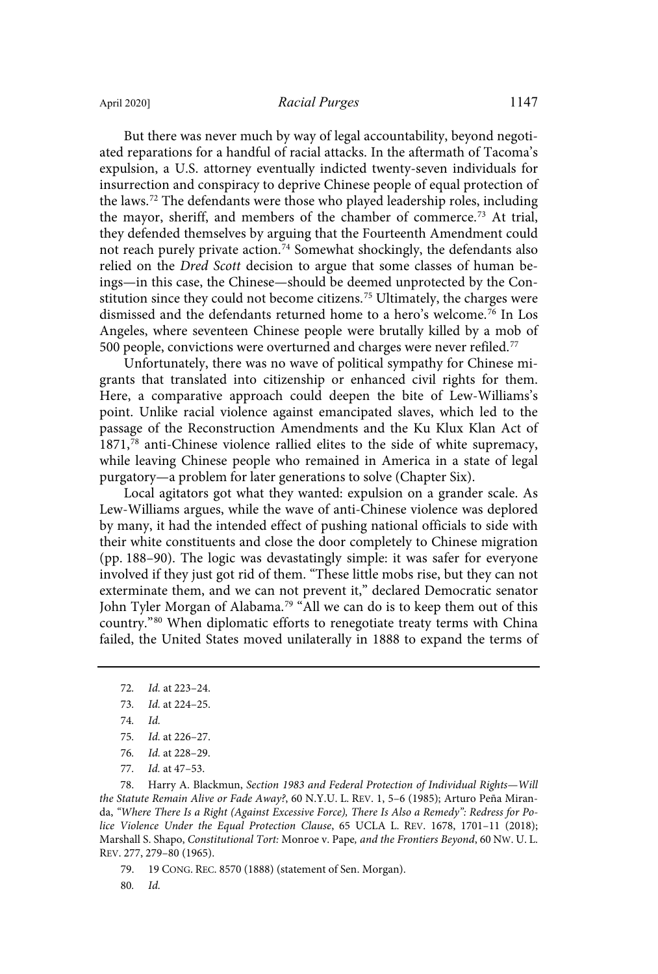But there was never much by way of legal accountability, beyond negotiated reparations for a handful of racial attacks. In the aftermath of Tacoma's expulsion, a U.S. attorney eventually indicted twenty-seven individuals for insurrection and conspiracy to deprive Chinese people of equal protection of the laws. <sup>72</sup> The defendants were those who played leadership roles, including the mayor, sheriff, and members of the chamber of commerce. <sup>73</sup> At trial, they defended themselves by arguing that the Fourteenth Amendment could not reach purely private action. <sup>74</sup> Somewhat shockingly, the defendants also relied on the Dred Scott decision to argue that some classes of human beings—in this case, the Chinese—should be deemed unprotected by the Constitution since they could not become citizens.<sup>75</sup> Ultimately, the charges were dismissed and the defendants returned home to a hero's welcome.<sup>76</sup> In Los Angeles, where seventeen Chinese people were brutally killed by a mob of 500 people, convictions were overturned and charges were never refiled.<sup>77</sup>

Unfortunately, there was no wave of political sympathy for Chinese migrants that translated into citizenship or enhanced civil rights for them. Here, a comparative approach could deepen the bite of Lew-Williams's point. Unlike racial violence against emancipated slaves, which led to the passage of the Reconstruction Amendments and the Ku Klux Klan Act of 1871,<sup>78</sup> anti-Chinese violence rallied elites to the side of white supremacy, while leaving Chinese people who remained in America in a state of legal purgatory—a problem for later generations to solve (Chapter Six).

Local agitators got what they wanted: expulsion on a grander scale. As Lew-Williams argues, while the wave of anti-Chinese violence was deplored by many, it had the intended effect of pushing national officials to side with their white constituents and close the door completely to Chinese migration (pp. 188–90). The logic was devastatingly simple: it was safer for everyone involved if they just got rid of them. "These little mobs rise, but they can not exterminate them, and we can not prevent it," declared Democratic senator John Tyler Morgan of Alabama.<sup>79</sup> "All we can do is to keep them out of this country."<sup>80</sup> When diplomatic efforts to renegotiate treaty terms with China failed, the United States moved unilaterally in 1888 to expand the terms of

78. Harry A. Blackmun, Section 1983 and Federal Protection of Individual Rights—Will the Statute Remain Alive or Fade Away?, 60 N.Y.U. L. REV. 1, 5–6 (1985); Arturo Peña Miranda, "Where There Is a Right (Against Excessive Force), There Is Also a Remedy": Redress for Police Violence Under the Equal Protection Clause, 65 UCLA L. REV. 1678, 1701–11 (2018); Marshall S. Shapo, Constitutional Tort: Monroe v. Pape, and the Frontiers Beyond, 60 NW. U. L. REV. 277, 279–80 (1965).

79. 19 CONG. REC. 8570 (1888) (statement of Sen. Morgan).

80. Id.

<sup>72</sup>. Id. at 223–24.

<sup>73</sup>. Id. at 224–25.

<sup>74</sup>. Id.

<sup>75</sup>. Id. at 226–27.

<sup>76</sup>. Id. at 228–29.

<sup>77</sup>. Id. at 47–53.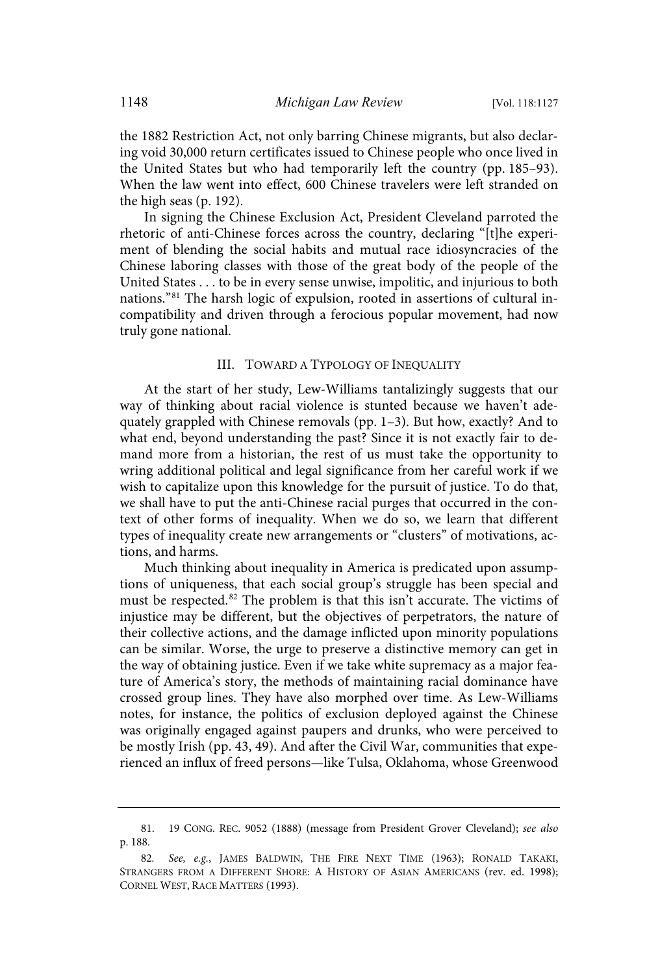the 1882 Restriction Act, not only barring Chinese migrants, but also declaring void 30,000 return certificates issued to Chinese people who once lived in the United States but who had temporarily left the country (pp. 185–93). When the law went into effect, 600 Chinese travelers were left stranded on the high seas (p. 192).

In signing the Chinese Exclusion Act, President Cleveland parroted the rhetoric of anti-Chinese forces across the country, declaring "[t]he experiment of blending the social habits and mutual race idiosyncracies of the Chinese laboring classes with those of the great body of the people of the United States . . . to be in every sense unwise, impolitic, and injurious to both nations." <sup>81</sup> The harsh logic of expulsion, rooted in assertions of cultural incompatibility and driven through a ferocious popular movement, had now truly gone national.

#### III. TOWARD A TYPOLOGY OF INEQUALITY

At the start of her study, Lew-Williams tantalizingly suggests that our way of thinking about racial violence is stunted because we haven't adequately grappled with Chinese removals (pp. 1–3). But how, exactly? And to what end, beyond understanding the past? Since it is not exactly fair to demand more from a historian, the rest of us must take the opportunity to wring additional political and legal significance from her careful work if we wish to capitalize upon this knowledge for the pursuit of justice. To do that, we shall have to put the anti-Chinese racial purges that occurred in the context of other forms of inequality. When we do so, we learn that different types of inequality create new arrangements or "clusters" of motivations, actions, and harms.

Much thinking about inequality in America is predicated upon assumptions of uniqueness, that each social group's struggle has been special and must be respected.<sup>82</sup> The problem is that this isn't accurate. The victims of injustice may be different, but the objectives of perpetrators, the nature of their collective actions, and the damage inflicted upon minority populations can be similar. Worse, the urge to preserve a distinctive memory can get in the way of obtaining justice. Even if we take white supremacy as a major feature of America's story, the methods of maintaining racial dominance have crossed group lines. They have also morphed over time. As Lew-Williams notes, for instance, the politics of exclusion deployed against the Chinese was originally engaged against paupers and drunks, who were perceived to be mostly Irish (pp. 43, 49). And after the Civil War, communities that experienced an influx of freed persons—like Tulsa, Oklahoma, whose Greenwood

<sup>81.</sup> 19 CONG. REC. 9052 (1888) (message from President Grover Cleveland); see also p. 188.

<sup>82</sup>. See, e.g., JAMES BALDWIN, THE FIRE NEXT TIME (1963); RONALD TAKAKI, STRANGERS FROM A DIFFERENT SHORE: A HISTORY OF ASIAN AMERICANS (rev. ed. 1998); CORNEL WEST, RACE MATTERS (1993).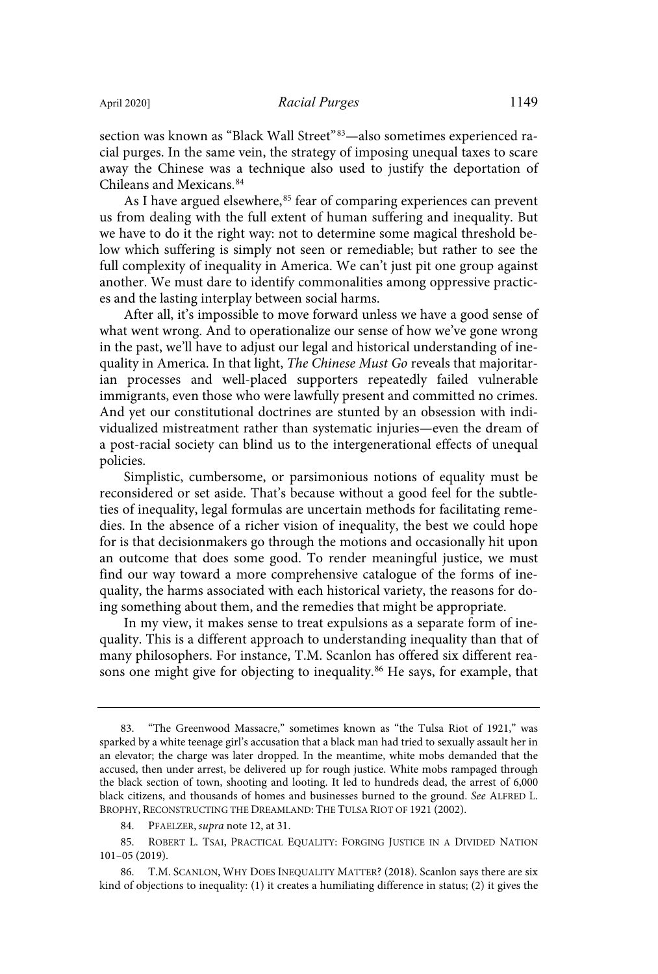section was known as "Black Wall Street"<sup>83</sup>—also sometimes experienced racial purges. In the same vein, the strategy of imposing unequal taxes to scare away the Chinese was a technique also used to justify the deportation of Chileans and Mexicans.<sup>84</sup>

As I have argued elsewhere,<sup>85</sup> fear of comparing experiences can prevent us from dealing with the full extent of human suffering and inequality. But we have to do it the right way: not to determine some magical threshold below which suffering is simply not seen or remediable; but rather to see the full complexity of inequality in America. We can't just pit one group against another. We must dare to identify commonalities among oppressive practices and the lasting interplay between social harms.

After all, it's impossible to move forward unless we have a good sense of what went wrong. And to operationalize our sense of how we've gone wrong in the past, we'll have to adjust our legal and historical understanding of inequality in America. In that light, The Chinese Must Go reveals that majoritarian processes and well-placed supporters repeatedly failed vulnerable immigrants, even those who were lawfully present and committed no crimes. And yet our constitutional doctrines are stunted by an obsession with individualized mistreatment rather than systematic injuries—even the dream of a post-racial society can blind us to the intergenerational effects of unequal policies.

Simplistic, cumbersome, or parsimonious notions of equality must be reconsidered or set aside. That's because without a good feel for the subtleties of inequality, legal formulas are uncertain methods for facilitating remedies. In the absence of a richer vision of inequality, the best we could hope for is that decisionmakers go through the motions and occasionally hit upon an outcome that does some good. To render meaningful justice, we must find our way toward a more comprehensive catalogue of the forms of inequality, the harms associated with each historical variety, the reasons for doing something about them, and the remedies that might be appropriate.

In my view, it makes sense to treat expulsions as a separate form of inequality. This is a different approach to understanding inequality than that of many philosophers. For instance, T.M. Scanlon has offered six different reasons one might give for objecting to inequality.<sup>86</sup> He says, for example, that

<sup>83.</sup> "The Greenwood Massacre," sometimes known as "the Tulsa Riot of 1921," was sparked by a white teenage girl's accusation that a black man had tried to sexually assault her in an elevator; the charge was later dropped. In the meantime, white mobs demanded that the accused, then under arrest, be delivered up for rough justice. White mobs rampaged through the black section of town, shooting and looting. It led to hundreds dead, the arrest of 6,000 black citizens, and thousands of homes and businesses burned to the ground. See ALFRED L. BROPHY, RECONSTRUCTING THE DREAMLAND: THE TULSA RIOT OF 1921 (2002).

<sup>84.</sup> PFAELZER, supra note 12, at 31.

<sup>85.</sup> ROBERT L. TSAI, PRACTICAL EQUALITY: FORGING JUSTICE IN A DIVIDED NATION 101–05 (2019).

<sup>86.</sup> T.M. SCANLON, WHY DOES INEQUALITY MATTER? (2018). Scanlon says there are six kind of objections to inequality: (1) it creates a humiliating difference in status; (2) it gives the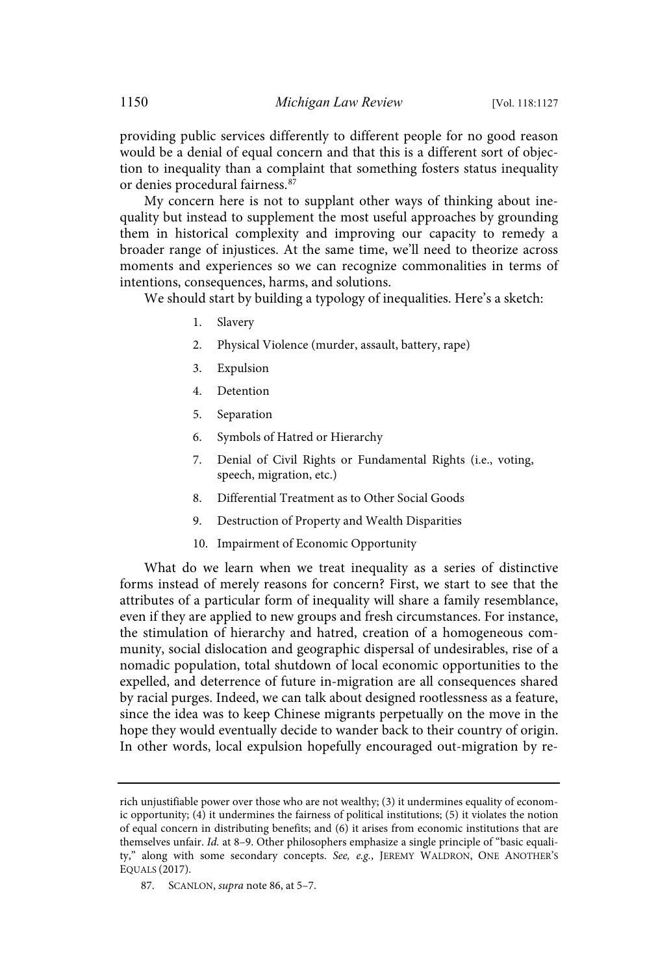providing public services differently to different people for no good reason would be a denial of equal concern and that this is a different sort of objection to inequality than a complaint that something fosters status inequality or denies procedural fairness.<sup>87</sup>

My concern here is not to supplant other ways of thinking about inequality but instead to supplement the most useful approaches by grounding them in historical complexity and improving our capacity to remedy a broader range of injustices. At the same time, we'll need to theorize across moments and experiences so we can recognize commonalities in terms of intentions, consequences, harms, and solutions.

We should start by building a typology of inequalities. Here's a sketch:

- 1. Slavery
- 2. Physical Violence (murder, assault, battery, rape)
- 3. Expulsion
- 4. Detention
- 5. Separation
- 6. Symbols of Hatred or Hierarchy
- 7. Denial of Civil Rights or Fundamental Rights (i.e., voting, speech, migration, etc.)
- 8. Differential Treatment as to Other Social Goods
- 9. Destruction of Property and Wealth Disparities
- 10. Impairment of Economic Opportunity

What do we learn when we treat inequality as a series of distinctive forms instead of merely reasons for concern? First, we start to see that the attributes of a particular form of inequality will share a family resemblance, even if they are applied to new groups and fresh circumstances. For instance, the stimulation of hierarchy and hatred, creation of a homogeneous community, social dislocation and geographic dispersal of undesirables, rise of a nomadic population, total shutdown of local economic opportunities to the expelled, and deterrence of future in-migration are all consequences shared by racial purges. Indeed, we can talk about designed rootlessness as a feature, since the idea was to keep Chinese migrants perpetually on the move in the hope they would eventually decide to wander back to their country of origin. In other words, local expulsion hopefully encouraged out-migration by re-

rich unjustifiable power over those who are not wealthy; (3) it undermines equality of economic opportunity; (4) it undermines the fairness of political institutions; (5) it violates the notion of equal concern in distributing benefits; and (6) it arises from economic institutions that are themselves unfair. Id. at 8–9. Other philosophers emphasize a single principle of "basic equality," along with some secondary concepts. See, e.g., JEREMY WALDRON, ONE ANOTHER'S EQUALS (2017).

<sup>87.</sup> SCANLON, *supra* note 86, at 5-7.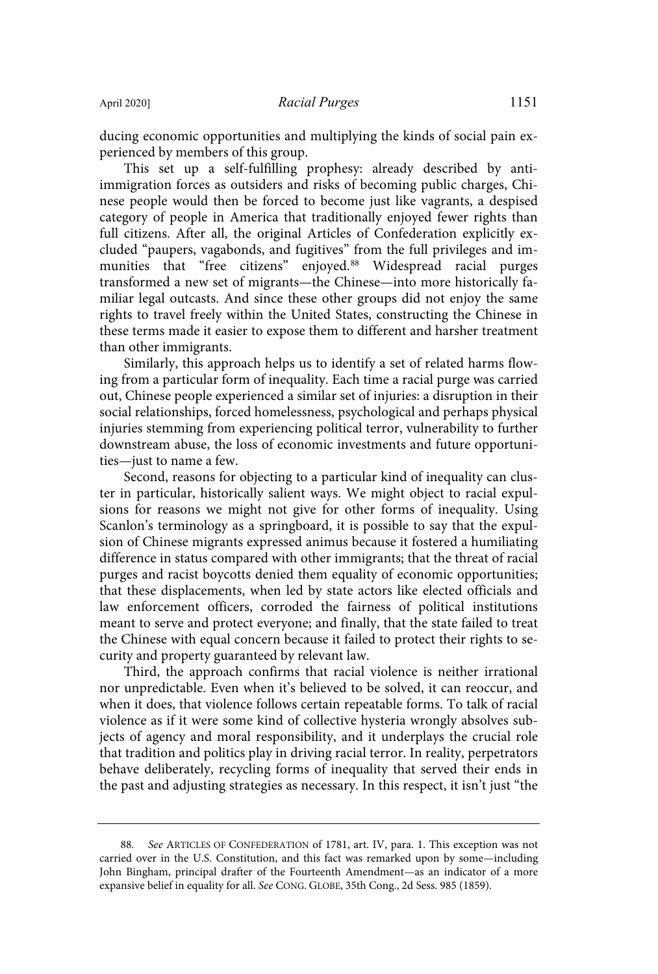ducing economic opportunities and multiplying the kinds of social pain experienced by members of this group.

This set up a self-fulfilling prophesy: already described by antiimmigration forces as outsiders and risks of becoming public charges, Chinese people would then be forced to become just like vagrants, a despised category of people in America that traditionally enjoyed fewer rights than full citizens. After all, the original Articles of Confederation explicitly excluded "paupers, vagabonds, and fugitives" from the full privileges and immunities that "free citizens" enjoyed.<sup>88</sup> Widespread racial purges transformed a new set of migrants—the Chinese—into more historically familiar legal outcasts. And since these other groups did not enjoy the same rights to travel freely within the United States, constructing the Chinese in these terms made it easier to expose them to different and harsher treatment than other immigrants.

Similarly, this approach helps us to identify a set of related harms flowing from a particular form of inequality. Each time a racial purge was carried out, Chinese people experienced a similar set of injuries: a disruption in their social relationships, forced homelessness, psychological and perhaps physical injuries stemming from experiencing political terror, vulnerability to further downstream abuse, the loss of economic investments and future opportunities—just to name a few.

Second, reasons for objecting to a particular kind of inequality can cluster in particular, historically salient ways. We might object to racial expulsions for reasons we might not give for other forms of inequality. Using Scanlon's terminology as a springboard, it is possible to say that the expulsion of Chinese migrants expressed animus because it fostered a humiliating difference in status compared with other immigrants; that the threat of racial purges and racist boycotts denied them equality of economic opportunities; that these displacements, when led by state actors like elected officials and law enforcement officers, corroded the fairness of political institutions meant to serve and protect everyone; and finally, that the state failed to treat the Chinese with equal concern because it failed to protect their rights to security and property guaranteed by relevant law.

Third, the approach confirms that racial violence is neither irrational nor unpredictable. Even when it's believed to be solved, it can reoccur, and when it does, that violence follows certain repeatable forms. To talk of racial violence as if it were some kind of collective hysteria wrongly absolves subjects of agency and moral responsibility, and it underplays the crucial role that tradition and politics play in driving racial terror. In reality, perpetrators behave deliberately, recycling forms of inequality that served their ends in the past and adjusting strategies as necessary. In this respect, it isn't just "the

<sup>88</sup>. See ARTICLES OF CONFEDERATION of 1781, art. IV, para. 1. This exception was not carried over in the U.S. Constitution, and this fact was remarked upon by some—including John Bingham, principal drafter of the Fourteenth Amendment—as an indicator of a more expansive belief in equality for all. See CONG. GLOBE, 35th Cong., 2d Sess. 985 (1859).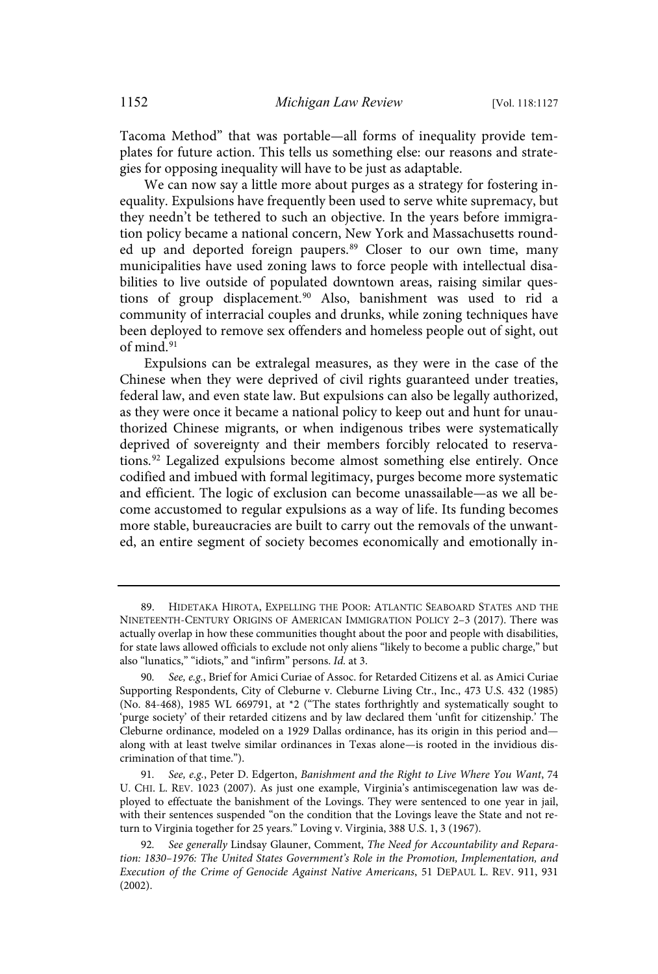Tacoma Method" that was portable—all forms of inequality provide templates for future action. This tells us something else: our reasons and strategies for opposing inequality will have to be just as adaptable.

We can now say a little more about purges as a strategy for fostering inequality. Expulsions have frequently been used to serve white supremacy, but they needn't be tethered to such an objective. In the years before immigration policy became a national concern, New York and Massachusetts rounded up and deported foreign paupers.<sup>89</sup> Closer to our own time, many municipalities have used zoning laws to force people with intellectual disabilities to live outside of populated downtown areas, raising similar questions of group displacement. <sup>90</sup> Also, banishment was used to rid a community of interracial couples and drunks, while zoning techniques have been deployed to remove sex offenders and homeless people out of sight, out of mind. 91

Expulsions can be extralegal measures, as they were in the case of the Chinese when they were deprived of civil rights guaranteed under treaties, federal law, and even state law. But expulsions can also be legally authorized, as they were once it became a national policy to keep out and hunt for unauthorized Chinese migrants, or when indigenous tribes were systematically deprived of sovereignty and their members forcibly relocated to reservations.<sup>92</sup> Legalized expulsions become almost something else entirely. Once codified and imbued with formal legitimacy, purges become more systematic and efficient. The logic of exclusion can become unassailable—as we all become accustomed to regular expulsions as a way of life. Its funding becomes more stable, bureaucracies are built to carry out the removals of the unwanted, an entire segment of society becomes economically and emotionally in-

<sup>89.</sup> HIDETAKA HIROTA, EXPELLING THE POOR: ATLANTIC SEABOARD STATES AND THE NINETEENTH-CENTURY ORIGINS OF AMERICAN IMMIGRATION POLICY 2–3 (2017). There was actually overlap in how these communities thought about the poor and people with disabilities, for state laws allowed officials to exclude not only aliens "likely to become a public charge," but also "lunatics," "idiots," and "infirm" persons. Id. at 3.

<sup>90</sup>. See, e.g., Brief for Amici Curiae of Assoc. for Retarded Citizens et al. as Amici Curiae Supporting Respondents, City of Cleburne v. Cleburne Living Ctr., Inc., 473 U.S. 432 (1985) (No. 84-468), 1985 WL 669791, at \*2 ("The states forthrightly and systematically sought to 'purge society' of their retarded citizens and by law declared them 'unfit for citizenship.' The Cleburne ordinance, modeled on a 1929 Dallas ordinance, has its origin in this period and along with at least twelve similar ordinances in Texas alone—is rooted in the invidious discrimination of that time.").

<sup>91</sup>. See, e.g., Peter D. Edgerton, Banishment and the Right to Live Where You Want, 74 U. CHI. L. REV. 1023 (2007). As just one example, Virginia's antimiscegenation law was deployed to effectuate the banishment of the Lovings. They were sentenced to one year in jail, with their sentences suspended "on the condition that the Lovings leave the State and not return to Virginia together for 25 years." Loving v. Virginia, 388 U.S. 1, 3 (1967).

<sup>92</sup>. See generally Lindsay Glauner, Comment, The Need for Accountability and Reparation: 1830–1976: The United States Government's Role in the Promotion, Implementation, and Execution of the Crime of Genocide Against Native Americans, 51 DEPAUL L. REV. 911, 931 (2002).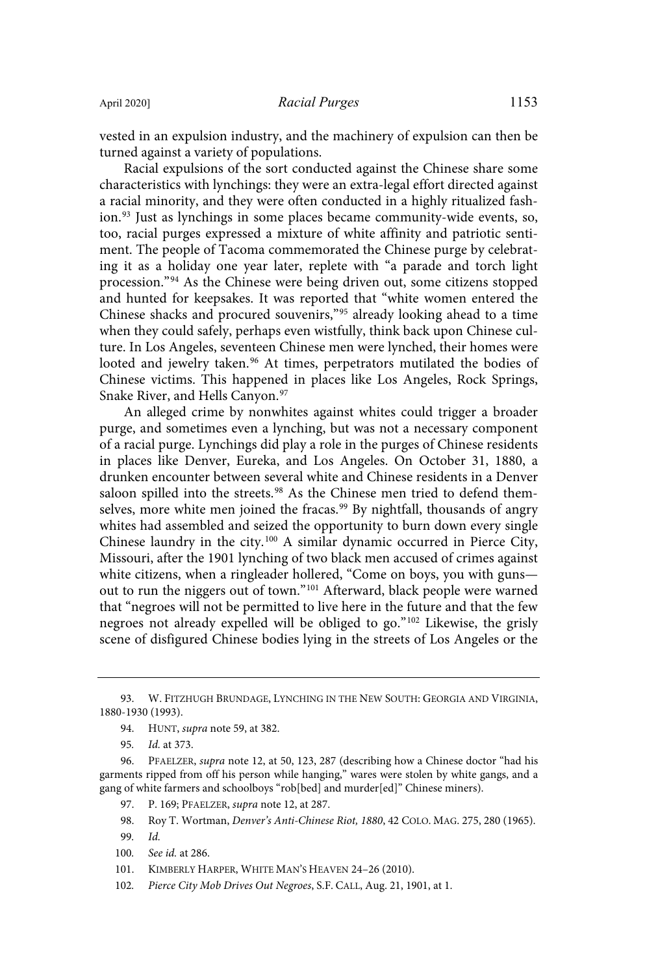vested in an expulsion industry, and the machinery of expulsion can then be turned against a variety of populations.

Racial expulsions of the sort conducted against the Chinese share some characteristics with lynchings: they were an extra-legal effort directed against a racial minority, and they were often conducted in a highly ritualized fashion.<sup>93</sup> Just as lynchings in some places became community-wide events, so, too, racial purges expressed a mixture of white affinity and patriotic sentiment. The people of Tacoma commemorated the Chinese purge by celebrating it as a holiday one year later, replete with "a parade and torch light procession."<sup>94</sup> As the Chinese were being driven out, some citizens stopped and hunted for keepsakes. It was reported that "white women entered the Chinese shacks and procured souvenirs," <sup>95</sup> already looking ahead to a time when they could safely, perhaps even wistfully, think back upon Chinese culture. In Los Angeles, seventeen Chinese men were lynched, their homes were looted and jewelry taken.<sup>96</sup> At times, perpetrators mutilated the bodies of Chinese victims. This happened in places like Los Angeles, Rock Springs, Snake River, and Hells Canyon. 97

An alleged crime by nonwhites against whites could trigger a broader purge, and sometimes even a lynching, but was not a necessary component of a racial purge. Lynchings did play a role in the purges of Chinese residents in places like Denver, Eureka, and Los Angeles. On October 31, 1880, a drunken encounter between several white and Chinese residents in a Denver saloon spilled into the streets.<sup>98</sup> As the Chinese men tried to defend themselves, more white men joined the fracas. <sup>99</sup> By nightfall, thousands of angry whites had assembled and seized the opportunity to burn down every single Chinese laundry in the city.<sup>100</sup> A similar dynamic occurred in Pierce City, Missouri, after the 1901 lynching of two black men accused of crimes against white citizens, when a ringleader hollered, "Come on boys, you with guns out to run the niggers out of town." <sup>101</sup> Afterward, black people were warned that "negroes will not be permitted to live here in the future and that the few negroes not already expelled will be obliged to go."<sup>102</sup> Likewise, the grisly scene of disfigured Chinese bodies lying in the streets of Los Angeles or the

<sup>93.</sup> W. FITZHUGH BRUNDAGE, LYNCHING IN THE NEW SOUTH: GEORGIA AND VIRGINIA, 1880-1930 (1993).

<sup>94.</sup> HUNT, supra note 59, at 382.

<sup>95</sup>. Id. at 373.

<sup>96.</sup> PFAELZER, supra note 12, at 50, 123, 287 (describing how a Chinese doctor "had his garments ripped from off his person while hanging," wares were stolen by white gangs, and a gang of white farmers and schoolboys "rob[bed] and murder[ed]" Chinese miners).

<sup>97.</sup> P. 169; PFAELZER, supra note 12, at 287.

<sup>98.</sup> Roy T. Wortman, Denver's Anti-Chinese Riot, 1880, 42 COLO. MAG. 275, 280 (1965).

<sup>99</sup>. Id.

<sup>100</sup>. See id. at 286.

<sup>101.</sup> KIMBERLY HARPER, WHITE MAN'S HEAVEN 24–26 (2010).

<sup>102</sup>. Pierce City Mob Drives Out Negroes, S.F. CALL, Aug. 21, 1901, at 1.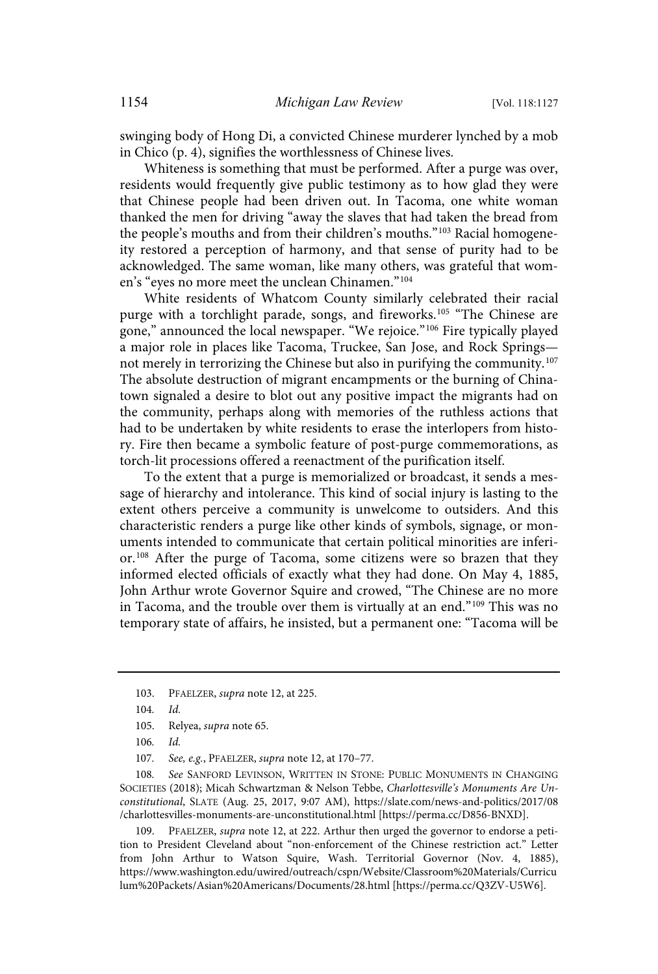swinging body of Hong Di, a convicted Chinese murderer lynched by a mob in Chico (p. 4), signifies the worthlessness of Chinese lives.

Whiteness is something that must be performed. After a purge was over, residents would frequently give public testimony as to how glad they were that Chinese people had been driven out. In Tacoma, one white woman thanked the men for driving "away the slaves that had taken the bread from the people's mouths and from their children's mouths."<sup>103</sup> Racial homogeneity restored a perception of harmony, and that sense of purity had to be acknowledged. The same woman, like many others, was grateful that women's "eyes no more meet the unclean Chinamen."<sup>104</sup>

White residents of Whatcom County similarly celebrated their racial purge with a torchlight parade, songs, and fireworks. <sup>105</sup> "The Chinese are gone," announced the local newspaper. "We rejoice."<sup>106</sup> Fire typically played a major role in places like Tacoma, Truckee, San Jose, and Rock Springs not merely in terrorizing the Chinese but also in purifying the community.<sup>107</sup> The absolute destruction of migrant encampments or the burning of Chinatown signaled a desire to blot out any positive impact the migrants had on the community, perhaps along with memories of the ruthless actions that had to be undertaken by white residents to erase the interlopers from history. Fire then became a symbolic feature of post-purge commemorations, as torch-lit processions offered a reenactment of the purification itself.

To the extent that a purge is memorialized or broadcast, it sends a message of hierarchy and intolerance. This kind of social injury is lasting to the extent others perceive a community is unwelcome to outsiders. And this characteristic renders a purge like other kinds of symbols, signage, or monuments intended to communicate that certain political minorities are inferior.<sup>108</sup> After the purge of Tacoma, some citizens were so brazen that they informed elected officials of exactly what they had done. On May 4, 1885, John Arthur wrote Governor Squire and crowed, "The Chinese are no more in Tacoma, and the trouble over them is virtually at an end." <sup>109</sup> This was no temporary state of affairs, he insisted, but a permanent one: "Tacoma will be

108. See SANFORD LEVINSON, WRITTEN IN STONE: PUBLIC MONUMENTS IN CHANGING SOCIETIES (2018); Micah Schwartzman & Nelson Tebbe, Charlottesville's Monuments Are Unconstitutional, SLATE (Aug. 25, 2017, 9:07 AM), https://slate.com/news-and-politics/2017/08 /charlottesvilles-monuments-are-unconstitutional.html [https://perma.cc/D856-BNXD].

109. PFAELZER, *supra* note 12, at 222. Arthur then urged the governor to endorse a petition to President Cleveland about "non-enforcement of the Chinese restriction act." Letter from John Arthur to Watson Squire, Wash. Territorial Governor (Nov. 4, 1885), https://www.washington.edu/uwired/outreach/cspn/Website/Classroom%20Materials/Curricu lum%20Packets/Asian%20Americans/Documents/28.html [https://perma.cc/Q3ZV-U5W6].

<sup>103.</sup> PFAELZER, supra note 12, at 225.

<sup>104</sup>. Id.

<sup>105.</sup> Relyea, supra note 65.

<sup>106</sup>. Id.

<sup>107</sup>. See, e.g., PFAELZER, supra note 12, at 170–77.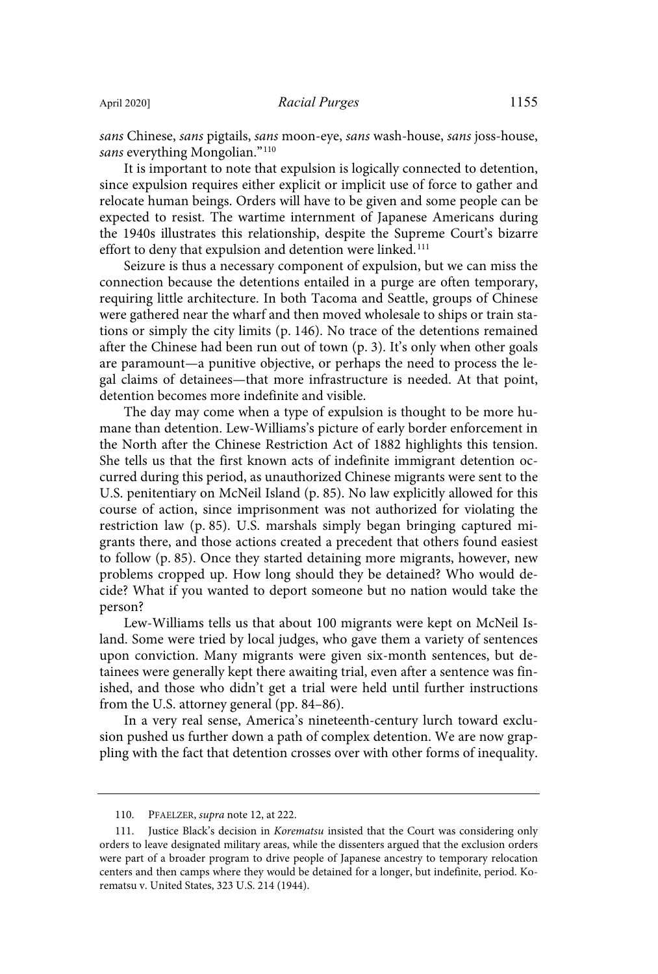sans Chinese, sans pigtails, sans moon-eye, sans wash-house, sans joss-house, sans everything Mongolian."<sup>110</sup>

It is important to note that expulsion is logically connected to detention, since expulsion requires either explicit or implicit use of force to gather and relocate human beings. Orders will have to be given and some people can be expected to resist. The wartime internment of Japanese Americans during the 1940s illustrates this relationship, despite the Supreme Court's bizarre effort to deny that expulsion and detention were linked.<sup>111</sup>

Seizure is thus a necessary component of expulsion, but we can miss the connection because the detentions entailed in a purge are often temporary, requiring little architecture. In both Tacoma and Seattle, groups of Chinese were gathered near the wharf and then moved wholesale to ships or train stations or simply the city limits (p. 146). No trace of the detentions remained after the Chinese had been run out of town (p. 3). It's only when other goals are paramount—a punitive objective, or perhaps the need to process the legal claims of detainees—that more infrastructure is needed. At that point, detention becomes more indefinite and visible.

The day may come when a type of expulsion is thought to be more humane than detention. Lew-Williams's picture of early border enforcement in the North after the Chinese Restriction Act of 1882 highlights this tension. She tells us that the first known acts of indefinite immigrant detention occurred during this period, as unauthorized Chinese migrants were sent to the U.S. penitentiary on McNeil Island (p. 85). No law explicitly allowed for this course of action, since imprisonment was not authorized for violating the restriction law (p. 85). U.S. marshals simply began bringing captured migrants there, and those actions created a precedent that others found easiest to follow (p. 85). Once they started detaining more migrants, however, new problems cropped up. How long should they be detained? Who would decide? What if you wanted to deport someone but no nation would take the person?

Lew-Williams tells us that about 100 migrants were kept on McNeil Island. Some were tried by local judges, who gave them a variety of sentences upon conviction. Many migrants were given six-month sentences, but detainees were generally kept there awaiting trial, even after a sentence was finished, and those who didn't get a trial were held until further instructions from the U.S. attorney general (pp. 84–86).

In a very real sense, America's nineteenth-century lurch toward exclusion pushed us further down a path of complex detention. We are now grappling with the fact that detention crosses over with other forms of inequality.

<sup>110.</sup> PFAELZER, supra note 12, at 222.

<sup>111.</sup> Justice Black's decision in Korematsu insisted that the Court was considering only orders to leave designated military areas, while the dissenters argued that the exclusion orders were part of a broader program to drive people of Japanese ancestry to temporary relocation centers and then camps where they would be detained for a longer, but indefinite, period. Korematsu v. United States, 323 U.S. 214 (1944).